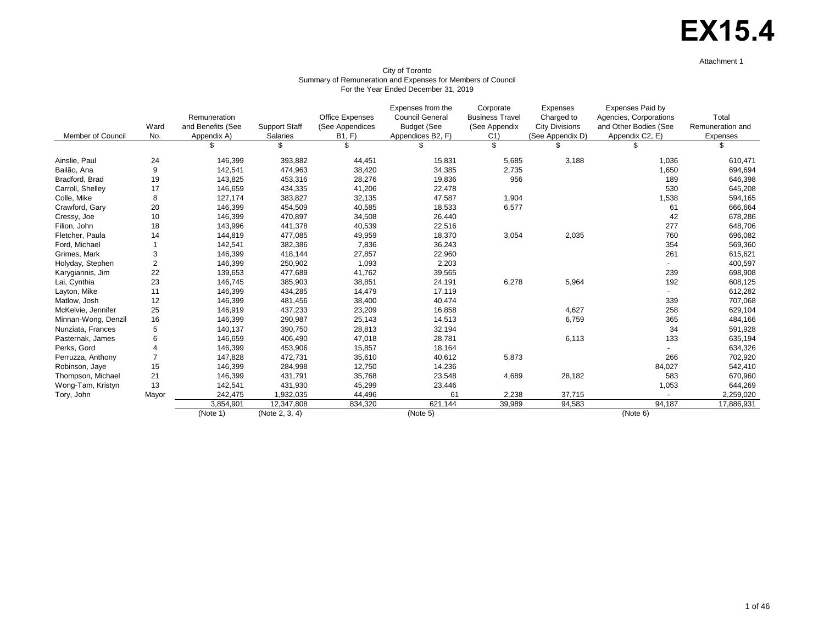# **EX15.4**

Attachment 1

| City of Toronto                                             |
|-------------------------------------------------------------|
| Summary of Remuneration and Expenses for Members of Council |
| For the Year Ended December 31, 2019                        |

| Member of Council   | Ward<br>No.    | Remuneration<br>and Benefits (See<br>Appendix A) | <b>Support Staff</b><br>Salaries | <b>Office Expenses</b><br>(See Appendices<br>B1, F | Expenses from the<br><b>Council General</b><br><b>Budget (See</b><br>Appendices B2, F) | Corporate<br><b>Business Travel</b><br>(See Appendix<br>C <sub>1</sub> | Expenses<br>Charged to<br><b>City Divisions</b><br>(See Appendix D) | Expenses Paid by<br>Agencies, Corporations<br>and Other Bodies (See<br>Appendix C2, E) | Total<br>Remuneration and<br>Expenses |
|---------------------|----------------|--------------------------------------------------|----------------------------------|----------------------------------------------------|----------------------------------------------------------------------------------------|------------------------------------------------------------------------|---------------------------------------------------------------------|----------------------------------------------------------------------------------------|---------------------------------------|
|                     |                |                                                  | \$                               | \$                                                 |                                                                                        | \$                                                                     |                                                                     | \$                                                                                     | \$                                    |
| Ainslie, Paul       | 24             | 146,399                                          | 393,882                          | 44,451                                             | 15,831                                                                                 | 5,685                                                                  | 3,188                                                               | 1,036                                                                                  | 610,471                               |
| Bailão, Ana         | 9              | 142,541                                          | 474,963                          | 38,420                                             | 34,385                                                                                 | 2,735                                                                  |                                                                     | 1,650                                                                                  | 694,694                               |
| Bradford, Brad      | 19             | 143,825                                          | 453,316                          | 28,276                                             | 19,836                                                                                 | 956                                                                    |                                                                     | 189                                                                                    | 646,398                               |
| Carroll, Shelley    | 17             | 146,659                                          | 434,335                          | 41,206                                             | 22,478                                                                                 |                                                                        |                                                                     | 530                                                                                    | 645,208                               |
| Colle, Mike         | 8              | 127,174                                          | 383,827                          | 32,135                                             | 47,587                                                                                 | 1,904                                                                  |                                                                     | 1,538                                                                                  | 594,165                               |
| Crawford, Gary      | 20             | 146,399                                          | 454,509                          | 40,585                                             | 18,533                                                                                 | 6,577                                                                  |                                                                     | 61                                                                                     | 666,664                               |
| Cressy, Joe         | 10             | 146,399                                          | 470,897                          | 34,508                                             | 26,440                                                                                 |                                                                        |                                                                     | 42                                                                                     | 678,286                               |
| Filion, John        | 18             | 143,996                                          | 441,378                          | 40,539                                             | 22,516                                                                                 |                                                                        |                                                                     | 277                                                                                    | 648,706                               |
| Fletcher, Paula     | 14             | 144,819                                          | 477,085                          | 49,959                                             | 18,370                                                                                 | 3,054                                                                  | 2,035                                                               | 760                                                                                    | 696,082                               |
| Ford, Michael       |                | 142,541                                          | 382,386                          | 7,836                                              | 36,243                                                                                 |                                                                        |                                                                     | 354                                                                                    | 569,360                               |
| Grimes, Mark        | 3              | 146,399                                          | 418,144                          | 27,857                                             | 22,960                                                                                 |                                                                        |                                                                     | 261                                                                                    | 615,621                               |
| Holyday, Stephen    | $\overline{2}$ | 146,399                                          | 250,902                          | 1,093                                              | 2,203                                                                                  |                                                                        |                                                                     |                                                                                        | 400,597                               |
| Karygiannis, Jim    | 22             | 139,653                                          | 477,689                          | 41,762                                             | 39,565                                                                                 |                                                                        |                                                                     | 239                                                                                    | 698,908                               |
| Lai, Cynthia        | 23             | 146,745                                          | 385,903                          | 38,851                                             | 24,191                                                                                 | 6,278                                                                  | 5,964                                                               | 192                                                                                    | 608,125                               |
| Layton, Mike        | 11             | 146,399                                          | 434,285                          | 14,479                                             | 17,119                                                                                 |                                                                        |                                                                     |                                                                                        | 612,282                               |
| Matlow, Josh        | 12             | 146,399                                          | 481,456                          | 38,400                                             | 40,474                                                                                 |                                                                        |                                                                     | 339                                                                                    | 707,068                               |
| McKelvie, Jennifer  | 25             | 146,919                                          | 437,233                          | 23,209                                             | 16,858                                                                                 |                                                                        | 4,627                                                               | 258                                                                                    | 629,104                               |
| Minnan-Wong, Denzil | 16             | 146,399                                          | 290,987                          | 25,143                                             | 14,513                                                                                 |                                                                        | 6,759                                                               | 365                                                                                    | 484,166                               |
| Nunziata, Frances   | 5              | 140,137                                          | 390,750                          | 28,813                                             | 32,194                                                                                 |                                                                        |                                                                     | 34                                                                                     | 591,928                               |
| Pasternak, James    | 6              | 146,659                                          | 406,490                          | 47,018                                             | 28,781                                                                                 |                                                                        | 6,113                                                               | 133                                                                                    | 635,194                               |
| Perks, Gord         | $\overline{4}$ | 146,399                                          | 453,906                          | 15,857                                             | 18,164                                                                                 |                                                                        |                                                                     |                                                                                        | 634,326                               |
| Perruzza, Anthony   | $\overline{7}$ | 147,828                                          | 472,731                          | 35,610                                             | 40,612                                                                                 | 5,873                                                                  |                                                                     | 266                                                                                    | 702,920                               |
| Robinson, Jaye      | 15             | 146,399                                          | 284,998                          | 12,750                                             | 14,236                                                                                 |                                                                        |                                                                     | 84,027                                                                                 | 542,410                               |
| Thompson, Michael   | 21             | 146,399                                          | 431,791                          | 35,768                                             | 23,548                                                                                 | 4,689                                                                  | 28,182                                                              | 583                                                                                    | 670,960                               |
| Wong-Tam, Kristyn   | 13             | 142,541                                          | 431,930                          | 45,299                                             | 23,446                                                                                 |                                                                        |                                                                     | 1,053                                                                                  | 644,269                               |
| Tory, John          | Mayor          | 242,475                                          | 1,932,035                        | 44,496                                             | 61                                                                                     | 2,238                                                                  | 37,715                                                              |                                                                                        | 2,259,020                             |
|                     |                | 3,854,901                                        | 12,347,808                       | 834,320                                            | 621,144                                                                                | 39,989                                                                 | 94,583                                                              | 94,187                                                                                 | 17,886,931                            |
|                     |                | (Note 1)                                         | (Note 2, 3, 4)                   |                                                    | (Note 5)                                                                               |                                                                        |                                                                     | (Note 6)                                                                               |                                       |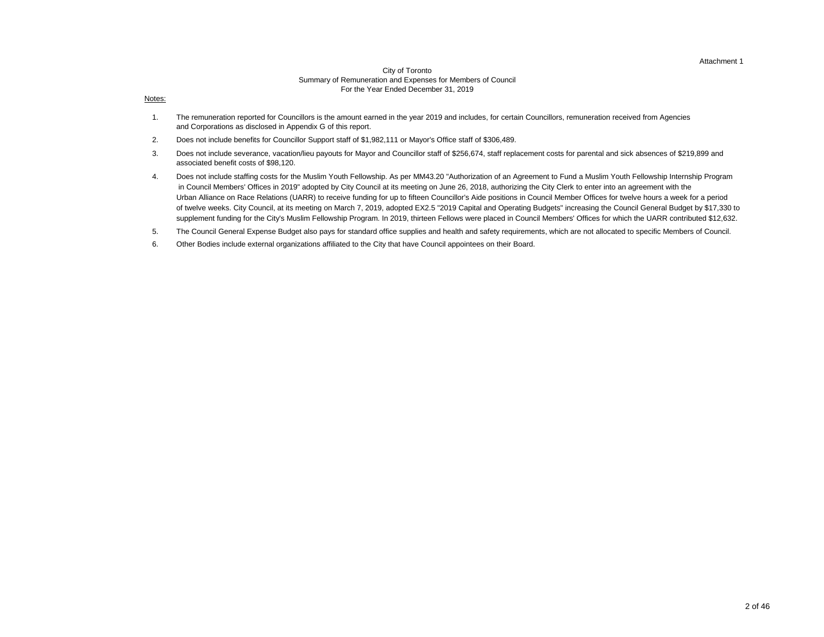#### Attachment 1

#### City of Toronto Summary of Remuneration and Expenses for Members of Council For the Year Ended December 31, 2019

#### Notes:

- 1. The remuneration reported for Councillors is the amount earned in the year 2019 and includes, for certain Councillors, remuneration received from Agencies and Corporations as disclosed in Appendix G of this report.
- 2. Does not include benefits for Councillor Support staff of \$1,982,111 or Mayor's Office staff of \$306,489.
- 3. associated benefit costs of \$98,120. Does not include severance, vacation/lieu payouts for Mayor and Councillor staff of \$256,674, staff replacement costs for parental and sick absences of \$219,899 and
- 4. Does not include staffing costs for the Muslim Youth Fellowship. As per MM43.20 "Authorization of an Agreement to Fund a Muslim Youth Fellowship Internship Program in Council Members' Offices in 2019" adopted by City Council at its meeting on June 26, 2018, authorizing the City Clerk to enter into an agreement with the Urban Alliance on Race Relations (UARR) to receive funding for up to fifteen Councillor's Aide positions in Council Member Offices for twelve hours a week for a period of twelve weeks. City Council, at its meeting on March 7, 2019, adopted EX2.5 "2019 Capital and Operating Budgets" increasing the Council General Budget by \$17,330 to supplement funding for the City's Muslim Fellowship Program. In 2019, thirteen Fellows were placed in Council Members' Offices for which the UARR contributed \$12,632.
- 5. The Council General Expense Budget also pays for standard office supplies and health and safety requirements, which are not allocated to specific Members of Council.
- 6. Other Bodies include external organizations affiliated to the City that have Council appointees on their Board.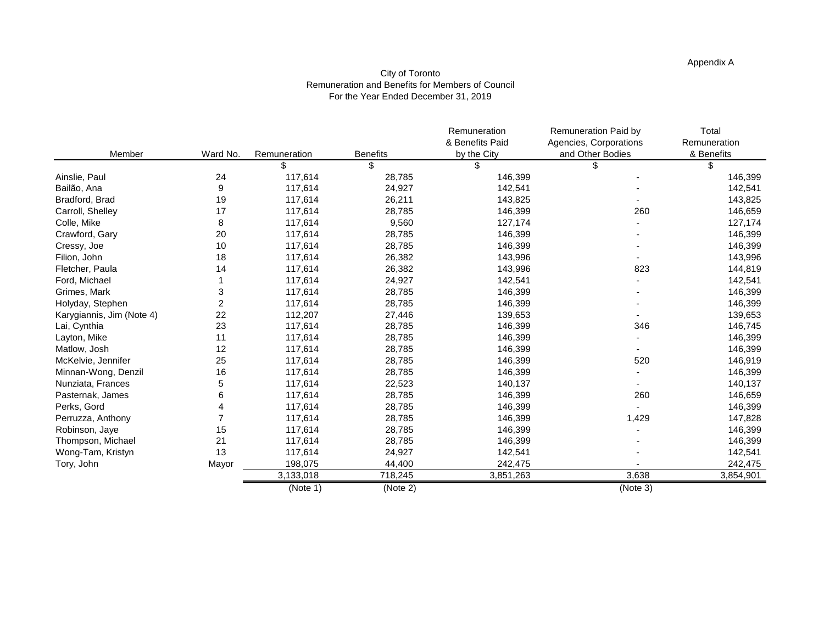### Appendix A

#### City of Toronto Remuneration and Benefits for Members of Council For the Year Ended December 31, 2019

|                           |                |              |                 | Remuneration    | Remuneration Paid by   | Total        |
|---------------------------|----------------|--------------|-----------------|-----------------|------------------------|--------------|
|                           |                |              |                 | & Benefits Paid | Agencies, Corporations | Remuneration |
| Member                    | Ward No.       | Remuneration | <b>Benefits</b> | by the City     | and Other Bodies       | & Benefits   |
|                           |                | \$           | \$              | \$              |                        | \$           |
| Ainslie, Paul             | 24             | 117,614      | 28,785          | 146,399         |                        | 146,399      |
| Bailão, Ana               | 9              | 117,614      | 24,927          | 142,541         |                        | 142,541      |
| Bradford, Brad            | 19             | 117,614      | 26,211          | 143,825         |                        | 143,825      |
| Carroll, Shelley          | 17             | 117,614      | 28,785          | 146,399         | 260                    | 146,659      |
| Colle, Mike               | 8              | 117,614      | 9,560           | 127,174         |                        | 127,174      |
| Crawford, Gary            | 20             | 117,614      | 28,785          | 146,399         |                        | 146,399      |
| Cressy, Joe               | 10             | 117,614      | 28,785          | 146,399         |                        | 146,399      |
| Filion, John              | 18             | 117,614      | 26,382          | 143,996         |                        | 143,996      |
| Fletcher, Paula           | 14             | 117,614      | 26,382          | 143,996         | 823                    | 144,819      |
| Ford, Michael             |                | 117,614      | 24,927          | 142,541         |                        | 142,541      |
| Grimes, Mark              | 3              | 117,614      | 28,785          | 146,399         |                        | 146,399      |
| Holyday, Stephen          | $\overline{c}$ | 117,614      | 28,785          | 146,399         |                        | 146,399      |
| Karygiannis, Jim (Note 4) | 22             | 112,207      | 27,446          | 139,653         |                        | 139,653      |
| Lai, Cynthia              | 23             | 117,614      | 28,785          | 146,399         | 346                    | 146,745      |
| Layton, Mike              | 11             | 117,614      | 28,785          | 146,399         |                        | 146,399      |
| Matlow, Josh              | 12             | 117,614      | 28,785          | 146,399         |                        | 146,399      |
| McKelvie, Jennifer        | 25             | 117,614      | 28,785          | 146,399         | 520                    | 146,919      |
| Minnan-Wong, Denzil       | 16             | 117,614      | 28,785          | 146,399         |                        | 146,399      |
| Nunziata, Frances         | 5              | 117,614      | 22,523          | 140,137         |                        | 140,137      |
| Pasternak, James          | 6              | 117,614      | 28,785          | 146,399         | 260                    | 146,659      |
| Perks, Gord               |                | 117,614      | 28,785          | 146,399         |                        | 146,399      |
| Perruzza, Anthony         |                | 117,614      | 28,785          | 146,399         | 1,429                  | 147,828      |
| Robinson, Jaye            | 15             | 117,614      | 28,785          | 146,399         |                        | 146,399      |
| Thompson, Michael         | 21             | 117,614      | 28,785          | 146,399         |                        | 146,399      |
| Wong-Tam, Kristyn         | 13             | 117,614      | 24,927          | 142,541         |                        | 142,541      |
| Tory, John                | Mayor          | 198,075      | 44,400          | 242,475         |                        | 242,475      |
|                           |                | 3,133,018    | 718,245         | 3,851,263       | 3,638                  | 3,854,901    |
|                           |                | (Note 1)     | (Note 2)        |                 | (Note 3)               |              |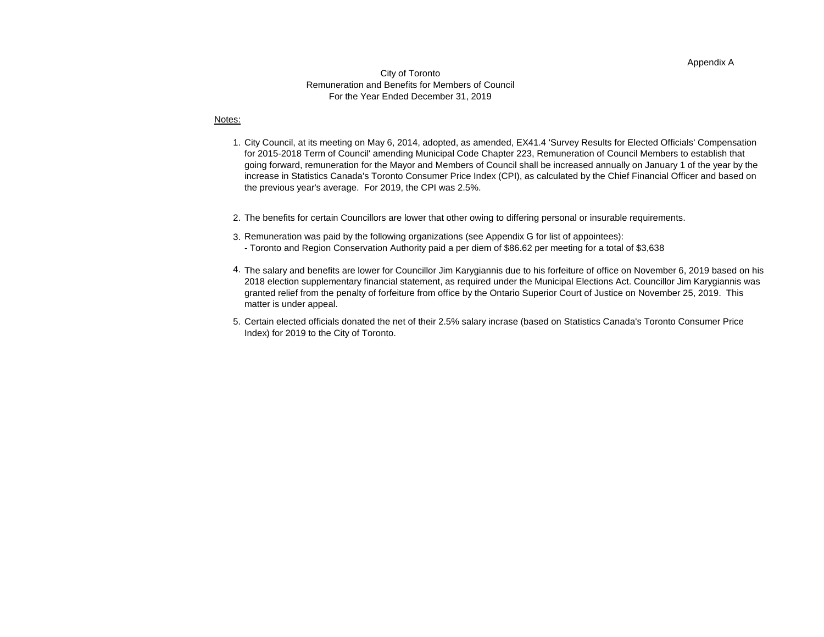#### Appendix A

#### City of Toronto Remuneration and Benefits for Members of Council For the Year Ended December 31, 2019

#### Notes:

- 1. City Council, at its meeting on May 6, 2014, adopted, as amended, EX41.4 'Survey Results for Elected Officials' Compensation for 2015-2018 Term of Council' amending Municipal Code Chapter 223, Remuneration of Council Members to establish that going forward, remuneration for the Mayor and Members of Council shall be increased annually on January 1 of the year by the increase in Statistics Canada's Toronto Consumer Price Index (CPI), as calculated by the Chief Financial Officer and based on the previous year's average. For 2019, the CPI was 2.5%.
- 2. The benefits for certain Councillors are lower that other owing to differing personal or insurable requirements.
- 3. Remuneration was paid by the following organizations (see Appendix G for list of appointees):
	- Toronto and Region Conservation Authority paid a per diem of \$86.62 per meeting for a total of \$3,638
- 4. The salary and benefits are lower for Councillor Jim Karygiannis due to his forfeiture of office on November 6, 2019 based on his 2018 election supplementary financial statement, as required under the Municipal Elections Act. Councillor Jim Karygiannis was granted relief from the penalty of forfeiture from office by the Ontario Superior Court of Justice on November 25, 2019. This matter is under appeal.
- 5. Certain elected officials donated the net of their 2.5% salary incrase (based on Statistics Canada's Toronto Consumer Price Index) for 2019 to the City of Toronto.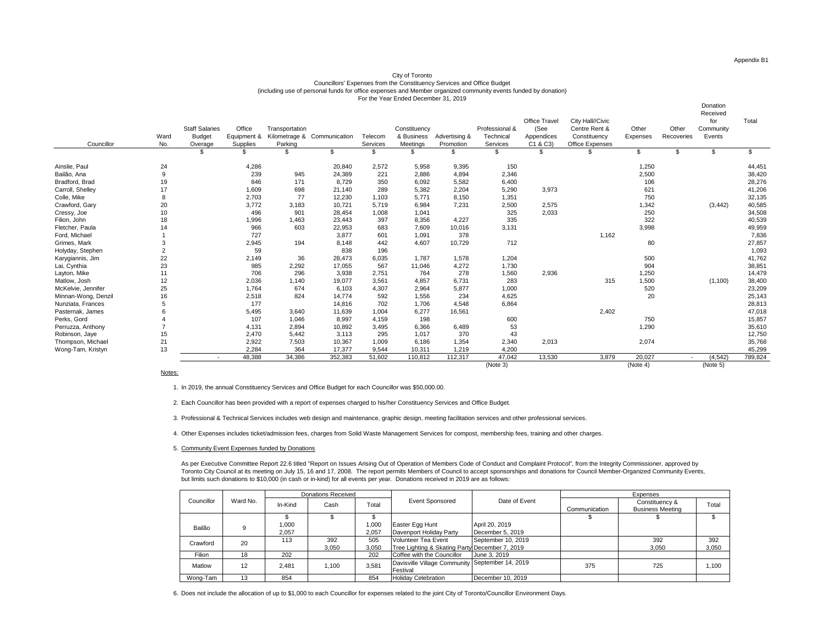Donation

#### City of Toronto Councillors' Expenses from the Constituency Services and Office Budget (including use of personal funds for office expenses and Member organized community events funded by donation) For the Year Ended December 31, 2019

| Councillor          | Ward<br>No.    | <b>Staff Salaries</b><br><b>Budget</b><br>Overage | Office<br>Equipment &<br>Supplies | Transportation<br>Parking | Kilometrage & Communication | Telecom<br>Services | Constituency<br>& Business<br>Meetings | Advertising &<br>Promotion | Professional &<br>Technical<br>Services | Office Travel<br>(See<br>Appendices<br>C1 & C3 | City Hall//Civic<br>Centre Rent &<br>Constituency<br>Office Expenses | Other<br>Expenses | Other<br>Recoveries | <b>DUIGUUI</b><br>Received<br>for<br>Community<br>Events | Total   |
|---------------------|----------------|---------------------------------------------------|-----------------------------------|---------------------------|-----------------------------|---------------------|----------------------------------------|----------------------------|-----------------------------------------|------------------------------------------------|----------------------------------------------------------------------|-------------------|---------------------|----------------------------------------------------------|---------|
|                     |                |                                                   |                                   | \$                        | \$                          | \$                  | \$                                     |                            |                                         |                                                |                                                                      | \$                | \$                  | \$                                                       |         |
| Ainslie, Paul       | 24             |                                                   | 4,286                             |                           | 20,840                      | 2,572               | 5,958                                  | 9,395                      | 150                                     |                                                |                                                                      | 1,250             |                     |                                                          | 44,451  |
| Bailão, Ana         | 9              |                                                   | 239                               | 945                       | 24,389                      | 221                 | 2,886                                  | 4,894                      | 2,346                                   |                                                |                                                                      | 2,500             |                     |                                                          | 38,420  |
| Bradford, Brad      | 19             |                                                   | 846                               | 171                       | 8,729                       | 350                 | 6,092                                  | 5,582                      | 6,400                                   |                                                |                                                                      | 106               |                     |                                                          | 28,276  |
| Carroll, Shelley    | 17             |                                                   | 1,609                             | 698                       | 21,140                      | 289                 | 5,382                                  | 2,204                      | 5,290                                   | 3,973                                          |                                                                      | 621               |                     |                                                          | 41,206  |
| Colle, Mike         | 8              |                                                   | 2,703                             | 77                        | 12,230                      | 1,103               | 5,771                                  | 8,150                      | 1,351                                   |                                                |                                                                      | 750               |                     |                                                          | 32,135  |
| Crawford, Gary      | 20             |                                                   | 3,772                             | 3,183                     | 10,721                      | 5,719               | 6.984                                  | 7,231                      | 2,500                                   | 2,575                                          |                                                                      | 1,342             |                     | (3, 442)                                                 | 40,585  |
| Cressy, Joe         | 10             |                                                   | 496                               | 901                       | 28,454                      | 1,008               | 1.041                                  |                            | 325                                     | 2,033                                          |                                                                      | 250               |                     |                                                          | 34,508  |
| Filion, John        | 18             |                                                   | 1,996                             | 1,463                     | 23,443                      | 397                 | 8,356                                  | 4,227                      | 335                                     |                                                |                                                                      | 322               |                     |                                                          | 40,539  |
| Fletcher, Paula     | 14             |                                                   | 966                               | 603                       | 22,953                      | 683                 | 7,609                                  | 10,016                     | 3,131                                   |                                                |                                                                      | 3,998             |                     |                                                          | 49,959  |
| Ford, Michael       |                |                                                   | 727                               |                           | 3,877                       | 601                 | 1,091                                  | 378                        |                                         |                                                | 1,162                                                                |                   |                     |                                                          | 7,836   |
| Grimes, Mark        | 3              |                                                   | 2,945                             | 194                       | 8,148                       | 442                 | 4.607                                  | 10,729                     | 712                                     |                                                |                                                                      | 80                |                     |                                                          | 27,857  |
| Holyday, Stephen    | $\overline{2}$ |                                                   | 59                                |                           | 838                         | 196                 |                                        |                            |                                         |                                                |                                                                      |                   |                     |                                                          | 1,093   |
| Karygiannis, Jim    | 22             |                                                   | 2,149                             | 36                        | 28,473                      | 6,035               | 1.787                                  | 1,578                      | 1,204                                   |                                                |                                                                      | 500               |                     |                                                          | 41,762  |
| Lai, Cynthia        | 23             |                                                   | 985                               | 2,292                     | 17,055                      | 567                 | 11,046                                 | 4,272                      | 1,730                                   |                                                |                                                                      | 904               |                     |                                                          | 38,851  |
| Layton, Mike        | 11             |                                                   | 706                               | 296                       | 3,938                       | 2,751               | 764                                    | 278                        | 1,560                                   | 2,936                                          |                                                                      | 1,250             |                     |                                                          | 14,479  |
| Matlow, Josh        | 12             |                                                   | 2,036                             | 1.140                     | 19,077                      | 3,561               | 4,857                                  | 6,731                      | 283                                     |                                                | 315                                                                  | 1,500             |                     | (1, 100)                                                 | 38,400  |
| McKelvie, Jennifer  | 25             |                                                   | 1,764                             | 674                       | 6,103                       | 4,307               | 2,964                                  | 5,877                      | 1,000                                   |                                                |                                                                      | 520               |                     |                                                          | 23,209  |
| Minnan-Wong, Denzil | 16             |                                                   | 2,518                             | 824                       | 14,774                      | 592                 | 1,556                                  | 234                        | 4,625                                   |                                                |                                                                      | 20                |                     |                                                          | 25,143  |
| Nunziata, Frances   | 5              |                                                   | 177                               |                           | 14,816                      | 702                 | 1.706                                  | 4.548                      | 6,864                                   |                                                |                                                                      |                   |                     |                                                          | 28,813  |
| Pasternak, James    |                |                                                   | 5,495                             | 3,640                     | 11,639                      | 1,004               | 6,277                                  | 16,561                     |                                         |                                                | 2,402                                                                |                   |                     |                                                          | 47,018  |
| Perks, Gord         |                |                                                   | 107                               | 1.046                     | 8,997                       | 4,159               | 198                                    |                            | 600                                     |                                                |                                                                      | 750               |                     |                                                          | 15,857  |
| Perruzza, Anthony   |                |                                                   | 4,131                             | 2,894                     | 10,892                      | 3,495               | 6,366                                  | 6,489                      | 53                                      |                                                |                                                                      | 1,290             |                     |                                                          | 35,610  |
| Robinson, Jaye      | 15             |                                                   | 2,470                             | 5,442                     | 3,113                       | 295                 | 1,017                                  | 370                        | 43                                      |                                                |                                                                      |                   |                     |                                                          | 12,750  |
| Thompson, Michael   | 21             |                                                   | 2,922                             | 7,503                     | 10,367                      | 1,009               | 6,186                                  | 1,354                      | 2,340                                   | 2,013                                          |                                                                      | 2,074             |                     |                                                          | 35,768  |
| Wong-Tam, Kristyn   | 13             |                                                   | 2,284                             | 364                       | 17,377                      | 9,544               | 10,311                                 | 1,219                      | 4,200                                   |                                                |                                                                      |                   |                     |                                                          | 45,299  |
|                     |                | $\overline{\phantom{a}}$                          | 48.388                            | 34.386                    | 352.383                     | 51.602              | 110.812                                | 112.317                    | 47.042                                  | 13.530                                         | 3.879                                                                | 20.027            |                     | (4.542)                                                  | 789,824 |
|                     | $\cdots$       |                                                   |                                   |                           |                             |                     |                                        |                            | (Note 3)                                |                                                |                                                                      | (Note 4)          |                     | (Note 5)                                                 |         |

Notes:

1. In 2019, the annual Constituency Services and Office Budget for each Councillor was \$50,000.00.

2. Each Councillor has been provided with a report of expenses charged to his/her Constituency Services and Office Budget.

3. Professional & Technical Services includes web design and maintenance, graphic design, meeting facilitation services and other professional services.

4. Other Expenses includes ticket/admission fees, charges from Solid Waste Management Services for compost, membership fees, training and other charges.

5. Community Event Expenses funded by Donations

As per Executive Committee Report 22.6 titled "Report on Issues Arising Out of Operation of Members Code of Conduct and Complaint Protocol", from the Integrity Commissioner, approved by Toronto City Council at its meeting on July 15, 16 and 17, 2008. The report permits Members of Council to accept sponsorships and donations for Council Member-Organized Community Events, but limits such donations to \$10,000 (in cash or in-kind) for all events per year. Donations received in 2019 are as follows:

| Councillor<br>Ward No. |    | <b>Donations Received</b> |       |       |                                                 |                    |               | Expenses                                  |       |
|------------------------|----|---------------------------|-------|-------|-------------------------------------------------|--------------------|---------------|-------------------------------------------|-------|
|                        |    | In-Kind                   | Cash  | Total | <b>Event Sponsored</b>                          | Date of Event      | Communication | Constituency &<br><b>Business Meeting</b> | Total |
|                        |    |                           |       |       |                                                 |                    |               |                                           |       |
| Bailão                 | 9  | 1,000                     |       | 1,000 | Easter Egg Hunt                                 | April 20, 2019     |               |                                           |       |
|                        |    | 2,057                     |       | 2,057 | Davenport Holiday Party                         | December 5, 2019   |               |                                           |       |
| Crawford               | 20 | 113                       | 392   | 505   | Volunteer Tea Event                             | September 10, 2019 |               | 392                                       | 392   |
|                        |    |                           | 3.050 | 3.050 | Tree Lighting & Skating Party December 7, 2019  |                    |               | 3,050                                     | 3,050 |
| Filion                 | 18 | 202                       |       | 202   | Coffee with the Councillor                      | June 3, 2019       |               |                                           |       |
| Matlow                 | 12 | 2.481                     | 1.100 | 3.581 | Davisville Village Community September 14, 2019 |                    | 375           | 725                                       | 1.100 |
|                        |    |                           |       |       | Festival                                        |                    |               |                                           |       |
| Wong-Tam               | 13 | 854                       |       | 854   | <b>Holiday Celebration</b>                      | December 10, 2019  |               |                                           |       |

6. Does not include the allocation of up to \$1,000 to each Councillor for expenses related to the joint City of Toronto/Councillor Environment Days.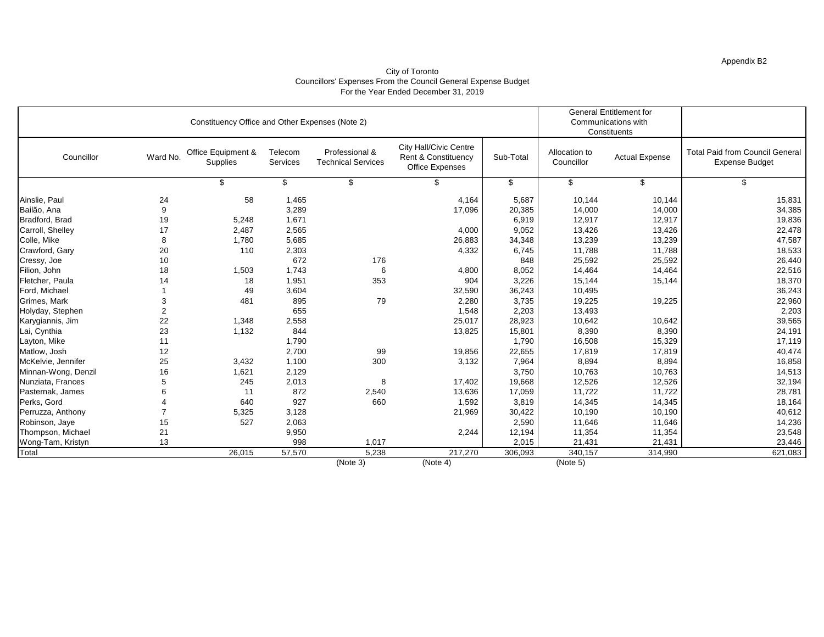### Appendix B2

#### City of Toronto Councillors' Expenses From the Council General Expense Budget For the Year Ended December 31, 2019

|                     |                         | Constituency Office and Other Expenses (Note 2) |                     |                                             |                                                                         |           |                             | <b>General Entitlement for</b><br>Communications with<br>Constituents |                                                                 |
|---------------------|-------------------------|-------------------------------------------------|---------------------|---------------------------------------------|-------------------------------------------------------------------------|-----------|-----------------------------|-----------------------------------------------------------------------|-----------------------------------------------------------------|
| Councillor          | Ward No.                | Office Equipment &<br>Supplies                  | Telecom<br>Services | Professional &<br><b>Technical Services</b> | <b>City Hall/Civic Centre</b><br>Rent & Constituency<br>Office Expenses | Sub-Total | Allocation to<br>Councillor | <b>Actual Expense</b>                                                 | <b>Total Paid from Council General</b><br><b>Expense Budget</b> |
|                     |                         | \$                                              | \$                  | \$                                          |                                                                         | \$        | \$                          | \$                                                                    | \$                                                              |
| Ainslie, Paul       | 24                      | 58                                              | 1,465               |                                             | 4,164                                                                   | 5,687     | 10,144                      | 10,144                                                                | 15,831                                                          |
| Bailão, Ana         | 9                       |                                                 | 3,289               |                                             | 17,096                                                                  | 20,385    | 14,000                      | 14,000                                                                | 34,385                                                          |
| Bradford, Brad      | 19                      | 5,248                                           | 1,671               |                                             |                                                                         | 6,919     | 12,917                      | 12,917                                                                | 19,836                                                          |
| Carroll, Shelley    | 17                      | 2,487                                           | 2,565               |                                             | 4,000                                                                   | 9,052     | 13,426                      | 13,426                                                                | 22,478                                                          |
| Colle, Mike         | 8                       | 1,780                                           | 5,685               |                                             | 26,883                                                                  | 34,348    | 13,239                      | 13,239                                                                | 47,587                                                          |
| Crawford, Gary      | 20                      | 110                                             | 2,303               |                                             | 4,332                                                                   | 6,745     | 11,788                      | 11,788                                                                | 18,533                                                          |
| Cressy, Joe         | 10                      |                                                 | 672                 | 176                                         |                                                                         | 848       | 25,592                      | 25,592                                                                | 26,440                                                          |
| Filion, John        | 18                      | 1,503                                           | 1,743               | 6                                           | 4,800                                                                   | 8,052     | 14,464                      | 14,464                                                                | 22,516                                                          |
| Fletcher, Paula     | 14                      | 18                                              | 1,951               | 353                                         | 904                                                                     | 3,226     | 15,144                      | 15,144                                                                | 18,370                                                          |
| Ford, Michael       |                         | 49                                              | 3,604               |                                             | 32,590                                                                  | 36,243    | 10,495                      |                                                                       | 36,243                                                          |
| Grimes, Mark        | 3                       | 481                                             | 895                 | 79                                          | 2,280                                                                   | 3,735     | 19,225                      | 19,225                                                                | 22,960                                                          |
| Holyday, Stephen    | $\overline{\mathbf{c}}$ |                                                 | 655                 |                                             | 1,548                                                                   | 2,203     | 13,493                      |                                                                       | 2,203                                                           |
| Karygiannis, Jim    | 22                      | 1,348                                           | 2,558               |                                             | 25,017                                                                  | 28,923    | 10,642                      | 10,642                                                                | 39,565                                                          |
| Lai, Cynthia        | 23                      | 1,132                                           | 844                 |                                             | 13,825                                                                  | 15,801    | 8,390                       | 8,390                                                                 | 24,191                                                          |
| Layton, Mike        | 11                      |                                                 | 1,790               |                                             |                                                                         | 1,790     | 16,508                      | 15,329                                                                | 17,119                                                          |
| Matlow, Josh        | 12                      |                                                 | 2,700               | 99                                          | 19,856                                                                  | 22,655    | 17,819                      | 17,819                                                                | 40,474                                                          |
| McKelvie, Jennifer  | 25                      | 3,432                                           | 1,100               | 300                                         | 3,132                                                                   | 7,964     | 8,894                       | 8,894                                                                 | 16,858                                                          |
| Minnan-Wong, Denzil | 16                      | 1,621                                           | 2,129               |                                             |                                                                         | 3,750     | 10,763                      | 10,763                                                                | 14,513                                                          |
| Nunziata, Frances   | 5                       | 245                                             | 2,013               | 8                                           | 17,402                                                                  | 19,668    | 12,526                      | 12,526                                                                | 32,194                                                          |
| Pasternak, James    | 6                       | 11                                              | 872                 | 2,540                                       | 13,636                                                                  | 17,059    | 11,722                      | 11,722                                                                | 28,781                                                          |
| Perks, Gord         | 4                       | 640                                             | 927                 | 660                                         | 1,592                                                                   | 3,819     | 14,345                      | 14,345                                                                | 18,164                                                          |
| Perruzza, Anthony   | $\overline{7}$          | 5,325                                           | 3,128               |                                             | 21,969                                                                  | 30,422    | 10,190                      | 10,190                                                                | 40,612                                                          |
| Robinson, Jaye      | 15                      | 527                                             | 2,063               |                                             |                                                                         | 2,590     | 11,646                      | 11,646                                                                | 14,236                                                          |
| Thompson, Michael   | 21                      |                                                 | 9,950               |                                             | 2,244                                                                   | 12,194    | 11,354                      | 11,354                                                                | 23,548                                                          |
| Wong-Tam, Kristyn   | 13                      |                                                 | 998                 | 1,017                                       |                                                                         | 2,015     | 21,431                      | 21,431                                                                | 23,446                                                          |
| Total               |                         | 26,015                                          | 57,570              | 5,238                                       | 217,270                                                                 | 306,093   | 340,157                     | 314,990                                                               | 621,083                                                         |
|                     |                         |                                                 |                     | (Note 3)                                    | (Note 4)                                                                |           | (Note 5)                    |                                                                       |                                                                 |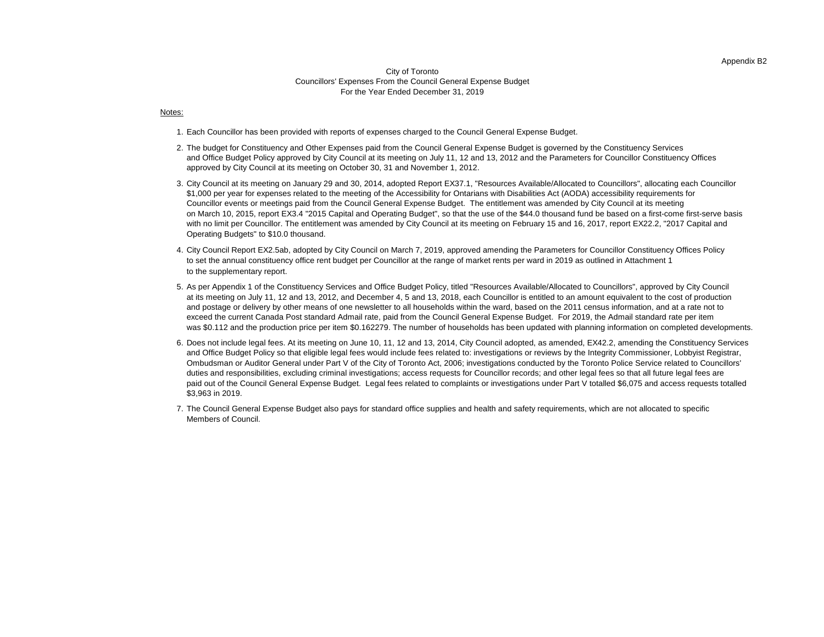#### Appendix B2

#### City of Toronto Councillors' Expenses From the Council General Expense Budget For the Year Ended December 31, 2019

#### Notes:

- 1. Each Councillor has been provided with reports of expenses charged to the Council General Expense Budget.
- 2. The budget for Constituency and Other Expenses paid from the Council General Expense Budget is governed by the Constituency Services and Office Budget Policy approved by City Council at its meeting on July 11, 12 and 13, 2012 and the Parameters for Councillor Constituency Offices approved by City Council at its meeting on October 30, 31 and November 1, 2012.
- 3. City Council at its meeting on January 29 and 30, 2014, adopted Report EX37.1, "Resources Available/Allocated to Councillors", allocating each Councillor Operating Budgets" to \$10.0 thousand. with no limit per Councillor. The entitlement was amended by City Council at its meeting on February 15 and 16, 2017, report EX22.2, "2017 Capital and \$1,000 per year for expenses related to the meeting of the Accessibility for Ontarians with Disabilities Act (AODA) accessibility requirements for Councillor events or meetings paid from the Council General Expense Budget. The entitlement was amended by City Council at its meeting on March 10, 2015, report EX3.4 "2015 Capital and Operating Budget", so that the use of the \$44.0 thousand fund be based on a first-come first-serve basis
- 4. City Council Report EX2.5ab, adopted by City Council on March 7, 2019, approved amending the Parameters for Councillor Constituency Offices Policy to set the annual constituency office rent budget per Councillor at the range of market rents per ward in 2019 as outlined in Attachment 1 to the supplementary report.
- 5. As per Appendix 1 of the Constituency Services and Office Budget Policy, titled "Resources Available/Allocated to Councillors", approved by City Council at its meeting on July 11, 12 and 13, 2012, and December 4, 5 and 13, 2018, each Councillor is entitled to an amount equivalent to the cost of production and postage or delivery by other means of one newsletter to all households within the ward, based on the 2011 census information, and at a rate not to exceed the current Canada Post standard Admail rate, paid from the Council General Expense Budget. For 2019, the Admail standard rate per item was \$0.112 and the production price per item \$0.162279. The number of households has been updated with planning information on completed developments.
- 6. Does not include legal fees. At its meeting on June 10, 11, 12 and 13, 2014, City Council adopted, as amended, EX42.2, amending the Constituency Services \$3,963 in 2019. and Office Budget Policy so that eligible legal fees would include fees related to: investigations or reviews by the Integrity Commissioner, Lobbyist Registrar, Ombudsman or Auditor General under Part V of the City of Toronto Act, 2006; investigations conducted by the Toronto Police Service related to Councillors' duties and responsibilities, excluding criminal investigations; access requests for Councillor records; and other legal fees so that all future legal fees are paid out of the Council General Expense Budget. Legal fees related to complaints or investigations under Part V totalled \$6,075 and access requests totalled
- 7. The Council General Expense Budget also pays for standard office supplies and health and safety requirements, which are not allocated to specific Members of Council.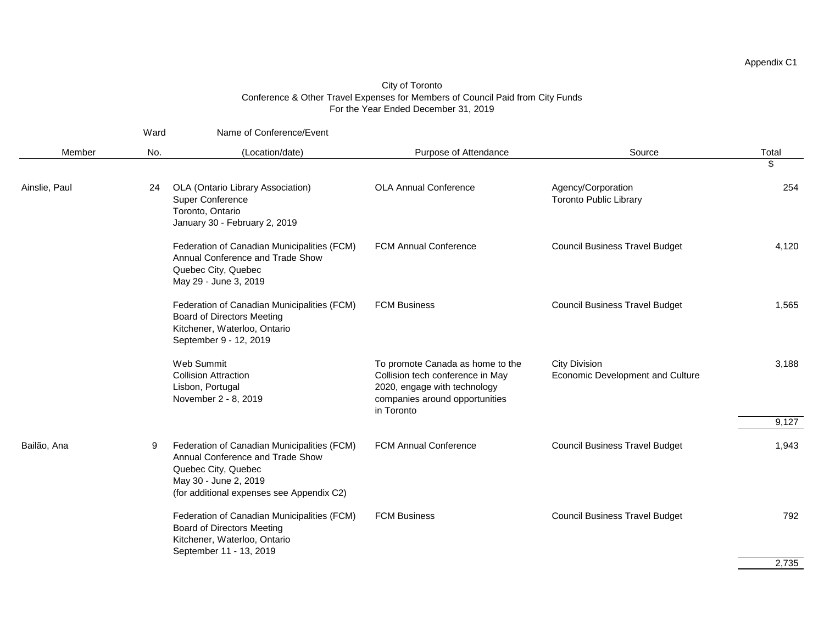|               | Ward | Name of Conference/Event                                                                                                                                                     |                                                                                                                                                      |                                                          |       |
|---------------|------|------------------------------------------------------------------------------------------------------------------------------------------------------------------------------|------------------------------------------------------------------------------------------------------------------------------------------------------|----------------------------------------------------------|-------|
| Member        | No.  | (Location/date)                                                                                                                                                              | Purpose of Attendance                                                                                                                                | Source                                                   | Total |
|               |      |                                                                                                                                                                              |                                                                                                                                                      |                                                          | \$    |
| Ainslie, Paul | 24   | OLA (Ontario Library Association)<br>Super Conference<br>Toronto, Ontario<br>January 30 - February 2, 2019                                                                   | <b>OLA Annual Conference</b>                                                                                                                         | Agency/Corporation<br><b>Toronto Public Library</b>      | 254   |
|               |      | Federation of Canadian Municipalities (FCM)<br>Annual Conference and Trade Show<br>Quebec City, Quebec<br>May 29 - June 3, 2019                                              | <b>FCM Annual Conference</b>                                                                                                                         | <b>Council Business Travel Budget</b>                    | 4,120 |
|               |      | Federation of Canadian Municipalities (FCM)<br><b>Board of Directors Meeting</b><br>Kitchener, Waterloo, Ontario<br>September 9 - 12, 2019                                   | <b>FCM Business</b>                                                                                                                                  | <b>Council Business Travel Budget</b>                    | 1,565 |
|               |      | Web Summit<br><b>Collision Attraction</b><br>Lisbon, Portugal<br>November 2 - 8, 2019                                                                                        | To promote Canada as home to the<br>Collision tech conference in May<br>2020, engage with technology<br>companies around opportunities<br>in Toronto | <b>City Division</b><br>Economic Development and Culture | 3,188 |
|               |      |                                                                                                                                                                              |                                                                                                                                                      |                                                          | 9,127 |
| Bailão, Ana   | 9    | Federation of Canadian Municipalities (FCM)<br>Annual Conference and Trade Show<br>Quebec City, Quebec<br>May 30 - June 2, 2019<br>(for additional expenses see Appendix C2) | <b>FCM Annual Conference</b>                                                                                                                         | <b>Council Business Travel Budget</b>                    | 1,943 |
|               |      | Federation of Canadian Municipalities (FCM)<br><b>Board of Directors Meeting</b><br>Kitchener, Waterloo, Ontario<br>September 11 - 13, 2019                                  | <b>FCM Business</b>                                                                                                                                  | <b>Council Business Travel Budget</b>                    | 792   |
|               |      |                                                                                                                                                                              |                                                                                                                                                      |                                                          | 2,735 |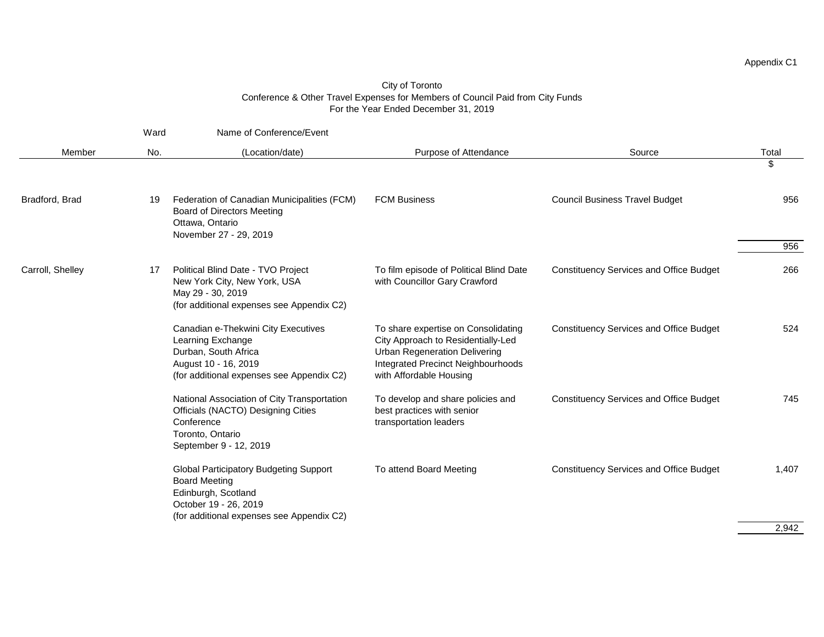|                  | Ward | Name of Conference/Event                                                                                                                                           |                                                                                                                                                                                    |                                                |             |
|------------------|------|--------------------------------------------------------------------------------------------------------------------------------------------------------------------|------------------------------------------------------------------------------------------------------------------------------------------------------------------------------------|------------------------------------------------|-------------|
| Member           | No.  | (Location/date)                                                                                                                                                    | Purpose of Attendance                                                                                                                                                              | Source                                         | Total<br>\$ |
| Bradford, Brad   | 19   | Federation of Canadian Municipalities (FCM)<br><b>Board of Directors Meeting</b><br>Ottawa, Ontario<br>November 27 - 29, 2019                                      | <b>FCM Business</b>                                                                                                                                                                | <b>Council Business Travel Budget</b>          | 956<br>956  |
| Carroll, Shelley | 17   | Political Blind Date - TVO Project<br>New York City, New York, USA<br>May 29 - 30, 2019<br>(for additional expenses see Appendix C2)                               | To film episode of Political Blind Date<br>with Councillor Gary Crawford                                                                                                           | <b>Constituency Services and Office Budget</b> | 266         |
|                  |      | Canadian e-Thekwini City Executives<br>Learning Exchange<br>Durban, South Africa<br>August 10 - 16, 2019<br>(for additional expenses see Appendix C2)              | To share expertise on Consolidating<br>City Approach to Residentially-Led<br><b>Urban Regeneration Delivering</b><br>Integrated Precinct Neighbourhoods<br>with Affordable Housing | <b>Constituency Services and Office Budget</b> | 524         |
|                  |      | National Association of City Transportation<br>Officials (NACTO) Designing Cities<br>Conference<br>Toronto, Ontario<br>September 9 - 12, 2019                      | To develop and share policies and<br>best practices with senior<br>transportation leaders                                                                                          | <b>Constituency Services and Office Budget</b> | 745         |
|                  |      | <b>Global Participatory Budgeting Support</b><br><b>Board Meeting</b><br>Edinburgh, Scotland<br>October 19 - 26, 2019<br>(for additional expenses see Appendix C2) | To attend Board Meeting                                                                                                                                                            | <b>Constituency Services and Office Budget</b> | 1,407       |
|                  |      |                                                                                                                                                                    |                                                                                                                                                                                    |                                                | 2,942       |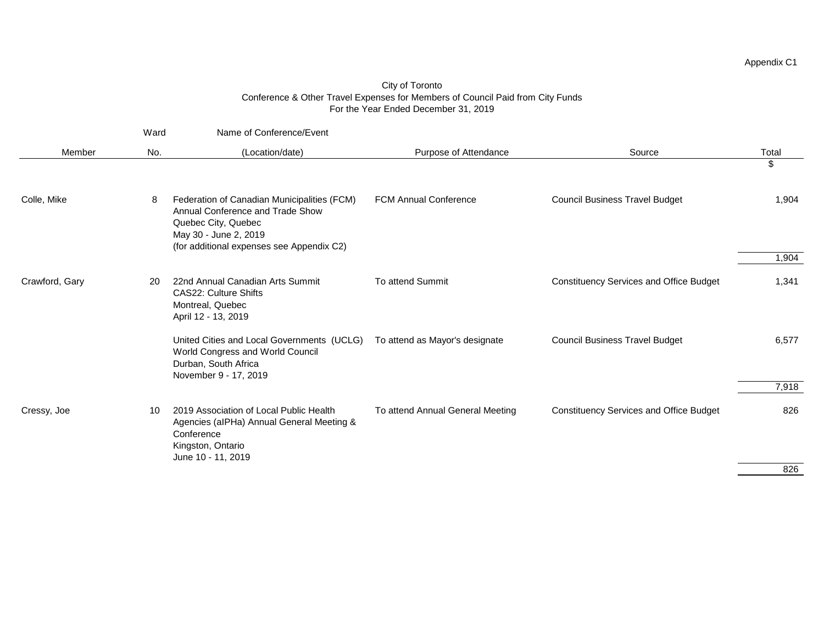|                | Ward | Name of Conference/Event                                                                                                                                                     |                                  |                                                |                |
|----------------|------|------------------------------------------------------------------------------------------------------------------------------------------------------------------------------|----------------------------------|------------------------------------------------|----------------|
| Member         | No.  | (Location/date)                                                                                                                                                              | Purpose of Attendance            | Source                                         | Total          |
|                |      |                                                                                                                                                                              |                                  |                                                | \$             |
| Colle, Mike    | 8    | Federation of Canadian Municipalities (FCM)<br>Annual Conference and Trade Show<br>Quebec City, Quebec<br>May 30 - June 2, 2019<br>(for additional expenses see Appendix C2) | <b>FCM Annual Conference</b>     | <b>Council Business Travel Budget</b>          | 1,904          |
|                |      |                                                                                                                                                                              |                                  |                                                | 1,904          |
| Crawford, Gary | 20   | 22nd Annual Canadian Arts Summit<br><b>CAS22: Culture Shifts</b><br>Montreal, Quebec<br>April 12 - 13, 2019                                                                  | To attend Summit                 | <b>Constituency Services and Office Budget</b> | 1,341          |
|                |      | United Cities and Local Governments (UCLG)<br>World Congress and World Council<br>Durban, South Africa<br>November 9 - 17, 2019                                              | To attend as Mayor's designate   | <b>Council Business Travel Budget</b>          | 6,577<br>7,918 |
| Cressy, Joe    | 10   | 2019 Association of Local Public Health<br>Agencies (alPHa) Annual General Meeting &<br>Conference<br>Kingston, Ontario<br>June 10 - 11, 2019                                | To attend Annual General Meeting | <b>Constituency Services and Office Budget</b> | 826            |
|                |      |                                                                                                                                                                              |                                  |                                                | 826            |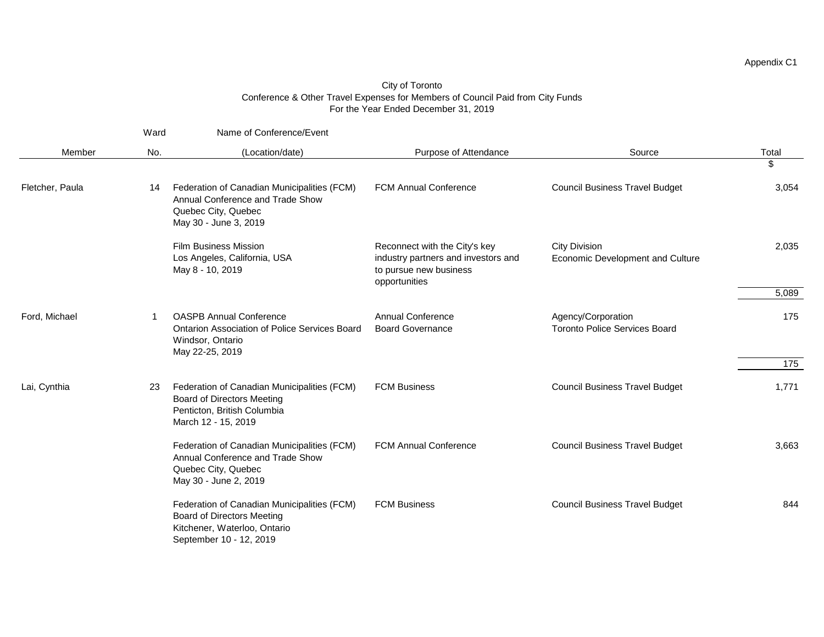|                 | Ward | Name of Conference/Event                                                                                                                    |                                                                                                                                        |                                                            |                                       |       |
|-----------------|------|---------------------------------------------------------------------------------------------------------------------------------------------|----------------------------------------------------------------------------------------------------------------------------------------|------------------------------------------------------------|---------------------------------------|-------|
| Member          | No.  | (Location/date)                                                                                                                             | Purpose of Attendance                                                                                                                  | Source                                                     | Total<br>\$                           |       |
| Fletcher, Paula | 14   | Federation of Canadian Municipalities (FCM)<br>Annual Conference and Trade Show<br>Quebec City, Quebec<br>May 30 - June 3, 2019             | <b>FCM Annual Conference</b>                                                                                                           | <b>Council Business Travel Budget</b>                      | 3,054                                 |       |
|                 |      | <b>Film Business Mission</b><br>Los Angeles, California, USA<br>May 8 - 10, 2019                                                            | Reconnect with the City's key<br>industry partners and investors and<br>to pursue new business<br>opportunities                        | <b>City Division</b><br>Economic Development and Culture   | 2,035                                 |       |
|                 |      |                                                                                                                                             |                                                                                                                                        |                                                            | 5,089                                 |       |
| Ford, Michael   | 1    | <b>OASPB Annual Conference</b><br>Ontarion Association of Police Services Board<br>Windsor, Ontario<br>May 22-25, 2019                      | <b>Annual Conference</b><br><b>Board Governance</b>                                                                                    | Agency/Corporation<br><b>Toronto Police Services Board</b> | 175                                   |       |
|                 |      |                                                                                                                                             |                                                                                                                                        |                                                            | 175                                   |       |
| Lai, Cynthia    | 23   |                                                                                                                                             | Federation of Canadian Municipalities (FCM)<br><b>Board of Directors Meeting</b><br>Penticton, British Columbia<br>March 12 - 15, 2019 | <b>FCM Business</b>                                        | <b>Council Business Travel Budget</b> | 1,771 |
|                 |      | Federation of Canadian Municipalities (FCM)<br>Annual Conference and Trade Show<br>Quebec City, Quebec<br>May 30 - June 2, 2019             | <b>FCM Annual Conference</b>                                                                                                           | <b>Council Business Travel Budget</b>                      | 3,663                                 |       |
|                 |      | Federation of Canadian Municipalities (FCM)<br><b>Board of Directors Meeting</b><br>Kitchener, Waterloo, Ontario<br>September 10 - 12, 2019 | <b>FCM Business</b>                                                                                                                    | <b>Council Business Travel Budget</b>                      | 844                                   |       |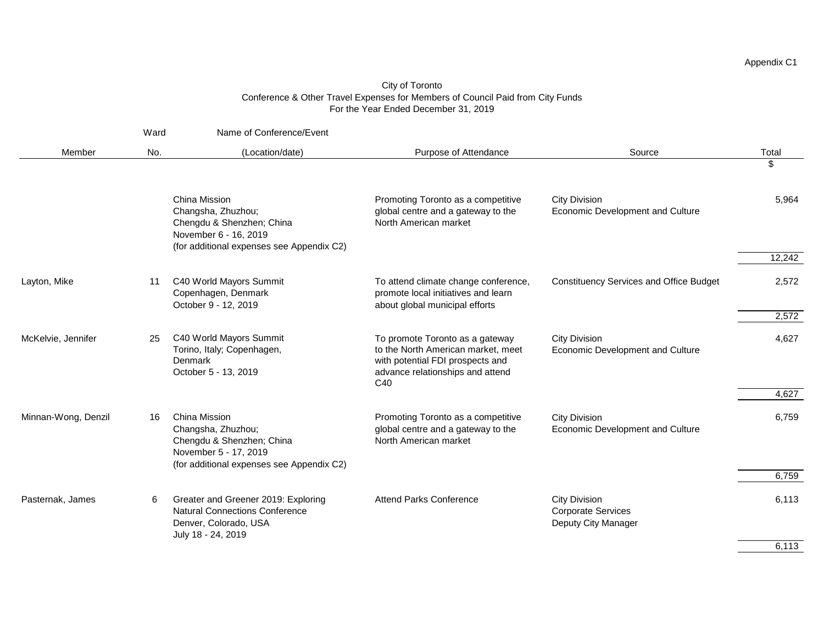|                     | Ward | Name of Conference/Event                                                                                                               |                                                                                                                                                                  |                                                                          |        |
|---------------------|------|----------------------------------------------------------------------------------------------------------------------------------------|------------------------------------------------------------------------------------------------------------------------------------------------------------------|--------------------------------------------------------------------------|--------|
| Member              | No.  | (Location/date)                                                                                                                        | Purpose of Attendance                                                                                                                                            | Source                                                                   | Total  |
|                     |      |                                                                                                                                        |                                                                                                                                                                  |                                                                          | \$     |
|                     |      | China Mission<br>Changsha, Zhuzhou;<br>Chengdu & Shenzhen; China<br>November 6 - 16, 2019<br>(for additional expenses see Appendix C2) | Promoting Toronto as a competitive<br>global centre and a gateway to the<br>North American market                                                                | <b>City Division</b><br>Economic Development and Culture                 | 5,964  |
|                     |      |                                                                                                                                        |                                                                                                                                                                  |                                                                          | 12,242 |
| Layton, Mike        | 11   | C40 World Mayors Summit<br>Copenhagen, Denmark<br>October 9 - 12, 2019                                                                 | To attend climate change conference,<br>promote local initiatives and learn<br>about global municipal efforts                                                    | <b>Constituency Services and Office Budget</b>                           | 2,572  |
|                     |      |                                                                                                                                        |                                                                                                                                                                  |                                                                          | 2,572  |
| McKelvie, Jennifer  | 25   | C40 World Mayors Summit<br>Torino, Italy; Copenhagen,<br>Denmark<br>October 5 - 13, 2019                                               | To promote Toronto as a gateway<br>to the North American market, meet<br>with potential FDI prospects and<br>advance relationships and attend<br>C <sub>40</sub> | <b>City Division</b><br>Economic Development and Culture                 | 4,627  |
|                     |      |                                                                                                                                        |                                                                                                                                                                  |                                                                          | 4,627  |
| Minnan-Wong, Denzil | 16   | China Mission<br>Changsha, Zhuzhou;<br>Chengdu & Shenzhen; China<br>November 5 - 17, 2019<br>(for additional expenses see Appendix C2) | Promoting Toronto as a competitive<br>global centre and a gateway to the<br>North American market                                                                | <b>City Division</b><br>Economic Development and Culture                 | 6,759  |
|                     |      |                                                                                                                                        |                                                                                                                                                                  |                                                                          | 6,759  |
| Pasternak, James    | 6    | Greater and Greener 2019: Exploring<br><b>Natural Connections Conference</b><br>Denver, Colorado, USA<br>July 18 - 24, 2019            | <b>Attend Parks Conference</b>                                                                                                                                   | <b>City Division</b><br><b>Corporate Services</b><br>Deputy City Manager | 6,113  |
|                     |      |                                                                                                                                        |                                                                                                                                                                  |                                                                          | 6,113  |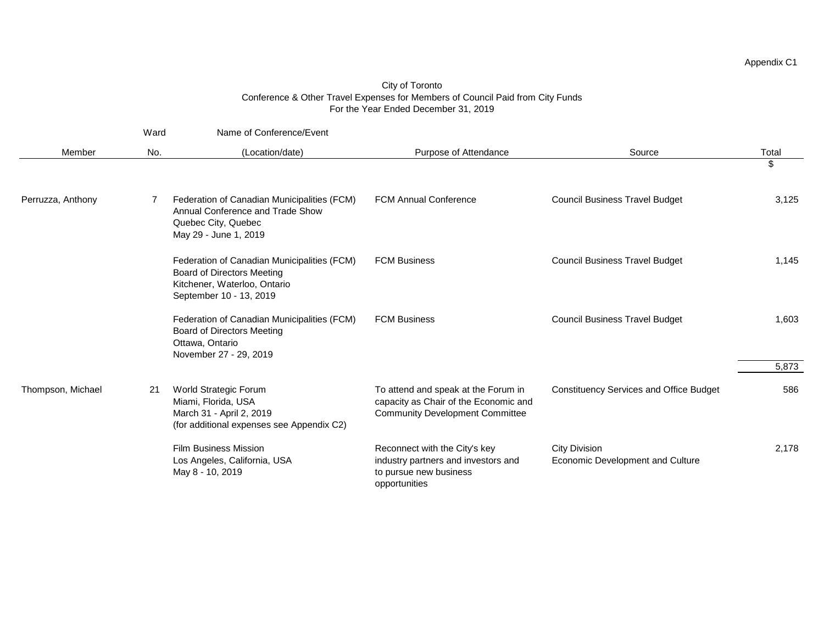|                   | Ward | Name of Conference/Event                                                                                                                    |                                                                                                                        |                                                          |       |
|-------------------|------|---------------------------------------------------------------------------------------------------------------------------------------------|------------------------------------------------------------------------------------------------------------------------|----------------------------------------------------------|-------|
| Member            | No.  | (Location/date)                                                                                                                             | Purpose of Attendance                                                                                                  | Source                                                   | Total |
|                   |      |                                                                                                                                             |                                                                                                                        |                                                          | \$    |
| Perruzza, Anthony | 7    | Federation of Canadian Municipalities (FCM)<br>Annual Conference and Trade Show<br>Quebec City, Quebec<br>May 29 - June 1, 2019             | <b>FCM Annual Conference</b>                                                                                           | <b>Council Business Travel Budget</b>                    | 3,125 |
|                   |      | Federation of Canadian Municipalities (FCM)<br><b>Board of Directors Meeting</b><br>Kitchener, Waterloo, Ontario<br>September 10 - 13, 2019 | <b>FCM Business</b>                                                                                                    | <b>Council Business Travel Budget</b>                    | 1,145 |
|                   |      | Federation of Canadian Municipalities (FCM)<br><b>Board of Directors Meeting</b><br>Ottawa, Ontario<br>November 27 - 29, 2019               | <b>FCM Business</b>                                                                                                    | <b>Council Business Travel Budget</b>                    | 1,603 |
|                   |      |                                                                                                                                             |                                                                                                                        |                                                          | 5,873 |
| Thompson, Michael | 21   | World Strategic Forum<br>Miami, Florida, USA<br>March 31 - April 2, 2019<br>(for additional expenses see Appendix C2)                       | To attend and speak at the Forum in<br>capacity as Chair of the Economic and<br><b>Community Development Committee</b> | <b>Constituency Services and Office Budget</b>           | 586   |
|                   |      | <b>Film Business Mission</b><br>Los Angeles, California, USA<br>May 8 - 10, 2019                                                            | Reconnect with the City's key<br>industry partners and investors and<br>to pursue new business<br>opportunities        | <b>City Division</b><br>Economic Development and Culture | 2,178 |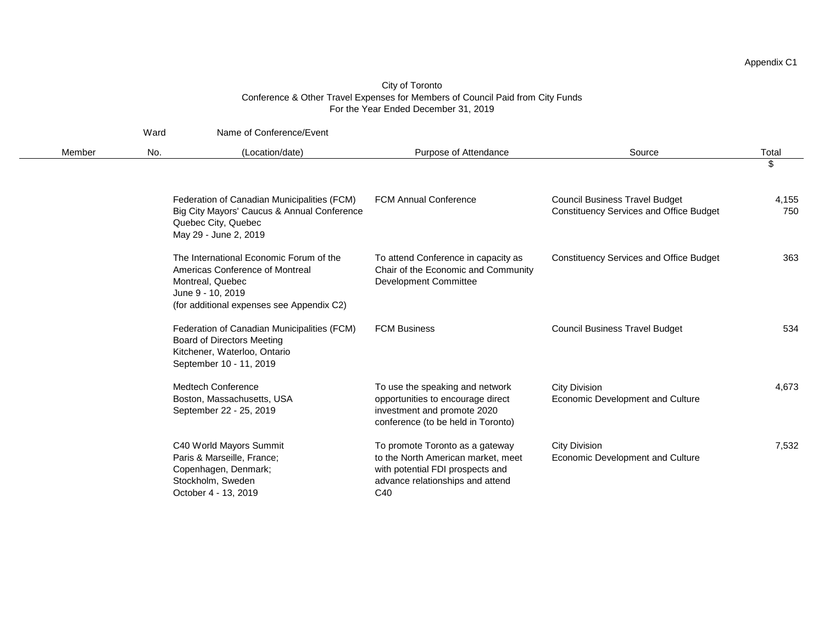|        | Ward | Name of Conference/Event                                                                                                                                         |                                                                                                                                                      |                                                                                         |              |
|--------|------|------------------------------------------------------------------------------------------------------------------------------------------------------------------|------------------------------------------------------------------------------------------------------------------------------------------------------|-----------------------------------------------------------------------------------------|--------------|
| Member | No.  | (Location/date)                                                                                                                                                  | Purpose of Attendance                                                                                                                                | Source                                                                                  | Total        |
|        |      |                                                                                                                                                                  |                                                                                                                                                      |                                                                                         | \$           |
|        |      | Federation of Canadian Municipalities (FCM)<br>Big City Mayors' Caucus & Annual Conference<br>Quebec City, Quebec<br>May 29 - June 2, 2019                       | <b>FCM Annual Conference</b>                                                                                                                         | <b>Council Business Travel Budget</b><br><b>Constituency Services and Office Budget</b> | 4,155<br>750 |
|        |      | The International Economic Forum of the<br>Americas Conference of Montreal<br>Montreal, Quebec<br>June 9 - 10, 2019<br>(for additional expenses see Appendix C2) | To attend Conference in capacity as<br>Chair of the Economic and Community<br><b>Development Committee</b>                                           | <b>Constituency Services and Office Budget</b>                                          | 363          |
|        |      | Federation of Canadian Municipalities (FCM)<br><b>Board of Directors Meeting</b><br>Kitchener, Waterloo, Ontario<br>September 10 - 11, 2019                      | <b>FCM Business</b>                                                                                                                                  | <b>Council Business Travel Budget</b>                                                   | 534          |
|        |      | <b>Medtech Conference</b><br>Boston, Massachusetts, USA<br>September 22 - 25, 2019                                                                               | To use the speaking and network<br>opportunities to encourage direct<br>investment and promote 2020<br>conference (to be held in Toronto)            | City Division<br>Economic Development and Culture                                       | 4,673        |
|        |      | C40 World Mayors Summit<br>Paris & Marseille, France;<br>Copenhagen, Denmark;<br>Stockholm, Sweden<br>October 4 - 13, 2019                                       | To promote Toronto as a gateway<br>to the North American market, meet<br>with potential FDI prospects and<br>advance relationships and attend<br>C40 | <b>City Division</b><br>Economic Development and Culture                                | 7,532        |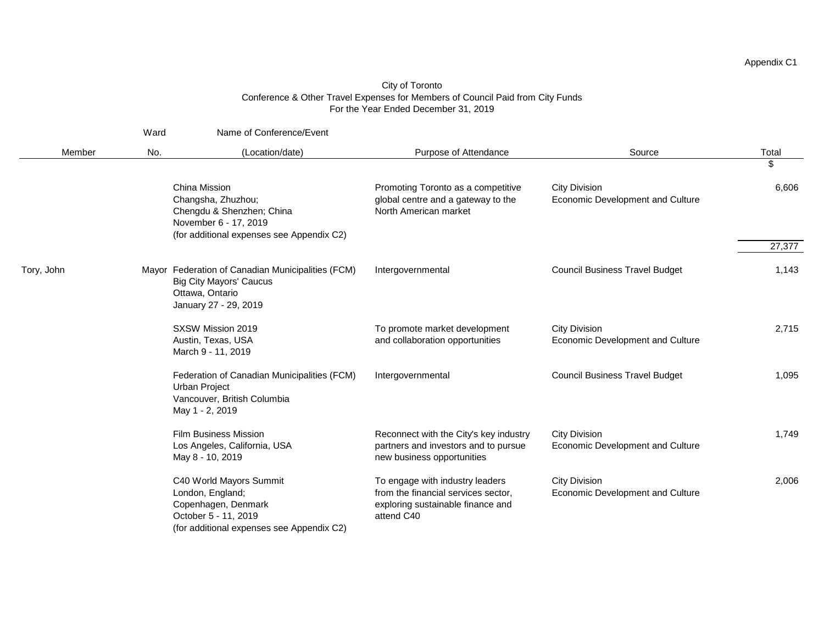|            | Ward | Name of Conference/Event                                                                                                                |                                                                                                                           |                                                          |        |
|------------|------|-----------------------------------------------------------------------------------------------------------------------------------------|---------------------------------------------------------------------------------------------------------------------------|----------------------------------------------------------|--------|
| Member     | No.  | (Location/date)                                                                                                                         | Purpose of Attendance                                                                                                     | Source                                                   | Total  |
|            |      |                                                                                                                                         |                                                                                                                           |                                                          | \$     |
|            |      | China Mission<br>Changsha, Zhuzhou;<br>Chengdu & Shenzhen; China<br>November 6 - 17, 2019<br>(for additional expenses see Appendix C2)  | Promoting Toronto as a competitive<br>global centre and a gateway to the<br>North American market                         | <b>City Division</b><br>Economic Development and Culture | 6,606  |
|            |      |                                                                                                                                         |                                                                                                                           |                                                          | 27,377 |
| Tory, John |      | Mayor Federation of Canadian Municipalities (FCM)<br><b>Big City Mayors' Caucus</b><br>Ottawa, Ontario<br>January 27 - 29, 2019         | Intergovernmental                                                                                                         | <b>Council Business Travel Budget</b>                    | 1,143  |
|            |      | SXSW Mission 2019<br>Austin, Texas, USA<br>March 9 - 11, 2019                                                                           | To promote market development<br>and collaboration opportunities                                                          | <b>City Division</b><br>Economic Development and Culture | 2,715  |
|            |      | Federation of Canadian Municipalities (FCM)<br><b>Urban Project</b><br>Vancouver, British Columbia<br>May 1 - 2, 2019                   | Intergovernmental                                                                                                         | <b>Council Business Travel Budget</b>                    | 1,095  |
|            |      | <b>Film Business Mission</b><br>Los Angeles, California, USA<br>May 8 - 10, 2019                                                        | Reconnect with the City's key industry<br>partners and investors and to pursue<br>new business opportunities              | <b>City Division</b><br>Economic Development and Culture | 1,749  |
|            |      | C40 World Mayors Summit<br>London, England;<br>Copenhagen, Denmark<br>October 5 - 11, 2019<br>(for additional expenses see Appendix C2) | To engage with industry leaders<br>from the financial services sector,<br>exploring sustainable finance and<br>attend C40 | <b>City Division</b><br>Economic Development and Culture | 2,006  |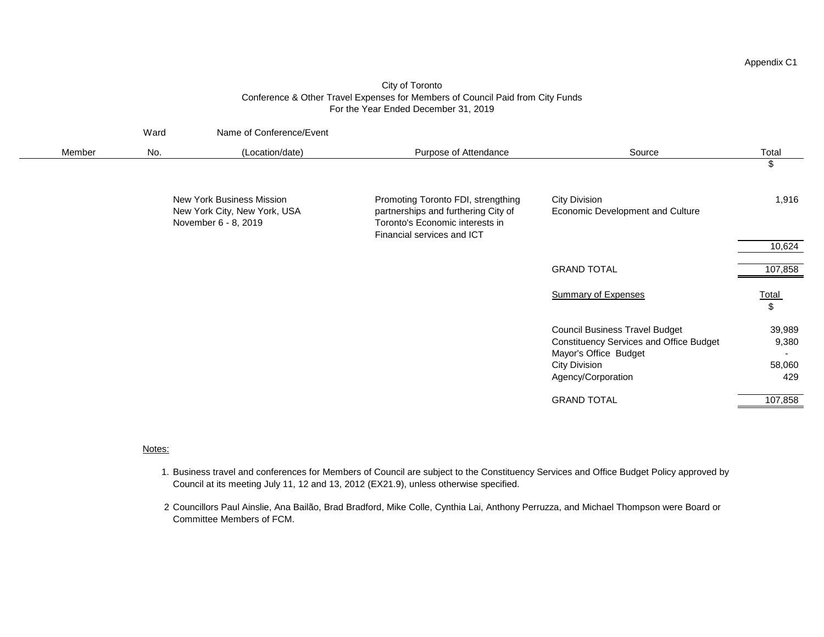### City of Toronto Conference & Other Travel Expenses for Members of Council Paid from City Funds For the Year Ended December 31, 2019

|        | Ward | Name of Conference/Event                                                                 |                                                                                                                                            |                                                                                                                                                         |                                  |
|--------|------|------------------------------------------------------------------------------------------|--------------------------------------------------------------------------------------------------------------------------------------------|---------------------------------------------------------------------------------------------------------------------------------------------------------|----------------------------------|
| Member | No.  | (Location/date)                                                                          | Purpose of Attendance                                                                                                                      | Source                                                                                                                                                  | Total                            |
|        |      |                                                                                          |                                                                                                                                            |                                                                                                                                                         | \$                               |
|        |      | <b>New York Business Mission</b><br>New York City, New York, USA<br>November 6 - 8, 2019 | Promoting Toronto FDI, strengthing<br>partnerships and furthering City of<br>Toronto's Economic interests in<br>Financial services and ICT | City Division<br>Economic Development and Culture                                                                                                       | 1,916                            |
|        |      |                                                                                          |                                                                                                                                            |                                                                                                                                                         | 10,624                           |
|        |      |                                                                                          |                                                                                                                                            | <b>GRAND TOTAL</b>                                                                                                                                      | 107,858                          |
|        |      |                                                                                          |                                                                                                                                            | <b>Summary of Expenses</b>                                                                                                                              | <b>Total</b><br>$\sqrt[6]{2}$    |
|        |      |                                                                                          |                                                                                                                                            | <b>Council Business Travel Budget</b><br><b>Constituency Services and Office Budget</b><br>Mayor's Office Budget<br>City Division<br>Agency/Corporation | 39,989<br>9,380<br>58,060<br>429 |
|        |      |                                                                                          |                                                                                                                                            | <b>GRAND TOTAL</b>                                                                                                                                      | 107,858                          |

#### Notes:

- 1. Business travel and conferences for Members of Council are subject to the Constituency Services and Office Budget Policy approved by Council at its meeting July 11, 12 and 13, 2012 (EX21.9), unless otherwise specified.
- 2 Councillors Paul Ainslie, Ana Bailão, Brad Bradford, Mike Colle, Cynthia Lai, Anthony Perruzza, and Michael Thompson were Board or Committee Members of FCM.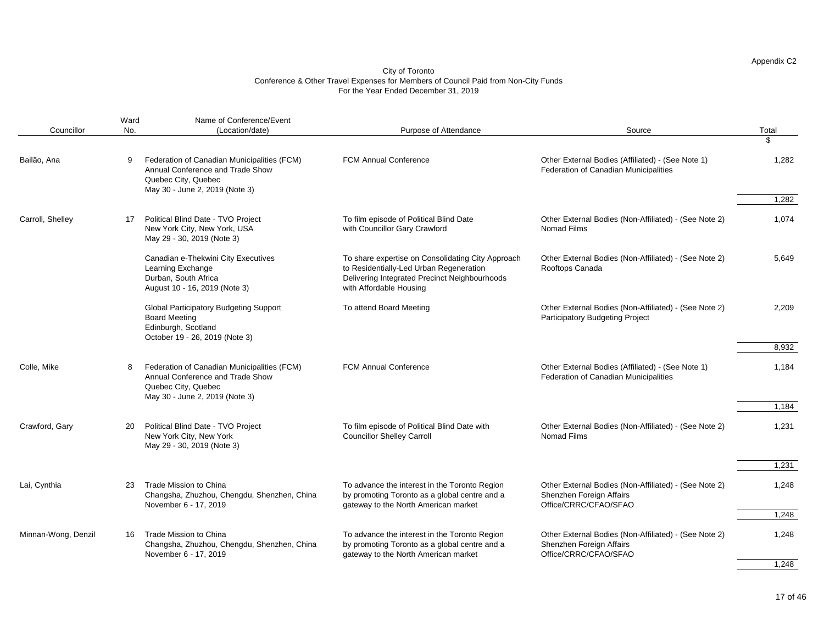|                     | Ward | Name of Conference/Event                                                                                                                 |                                                                                                                                                                          |                                                                                                            |             |
|---------------------|------|------------------------------------------------------------------------------------------------------------------------------------------|--------------------------------------------------------------------------------------------------------------------------------------------------------------------------|------------------------------------------------------------------------------------------------------------|-------------|
| Councillor          | No.  | (Location/date)                                                                                                                          | Purpose of Attendance                                                                                                                                                    | Source                                                                                                     | Total<br>\$ |
| Bailão, Ana         | 9    | Federation of Canadian Municipalities (FCM)<br>Annual Conference and Trade Show<br>Quebec City, Quebec<br>May 30 - June 2, 2019 (Note 3) | <b>FCM Annual Conference</b>                                                                                                                                             | Other External Bodies (Affiliated) - (See Note 1)<br>Federation of Canadian Municipalities                 | 1,282       |
|                     |      |                                                                                                                                          |                                                                                                                                                                          |                                                                                                            | 1,282       |
| Carroll, Shelley    | 17   | Political Blind Date - TVO Project<br>New York City, New York, USA<br>May 29 - 30, 2019 (Note 3)                                         | To film episode of Political Blind Date<br>with Councillor Gary Crawford                                                                                                 | Other External Bodies (Non-Affiliated) - (See Note 2)<br>Nomad Films                                       | 1,074       |
|                     |      | Canadian e-Thekwini City Executives<br>Learning Exchange<br>Durban, South Africa<br>August 10 - 16, 2019 (Note 3)                        | To share expertise on Consolidating City Approach<br>to Residentially-Led Urban Regeneration<br>Delivering Integrated Precinct Neighbourhoods<br>with Affordable Housing | Other External Bodies (Non-Affiliated) - (See Note 2)<br>Rooftops Canada                                   | 5,649       |
|                     |      | <b>Global Participatory Budgeting Support</b><br><b>Board Meeting</b><br>Edinburgh, Scotland<br>October 19 - 26, 2019 (Note 3)           | To attend Board Meeting                                                                                                                                                  | Other External Bodies (Non-Affiliated) - (See Note 2)<br><b>Participatory Budgeting Project</b>            | 2,209       |
|                     |      |                                                                                                                                          |                                                                                                                                                                          |                                                                                                            | 8,932       |
| Colle, Mike         | 8    | Federation of Canadian Municipalities (FCM)<br>Annual Conference and Trade Show<br>Quebec City, Quebec<br>May 30 - June 2, 2019 (Note 3) | <b>FCM Annual Conference</b>                                                                                                                                             | Other External Bodies (Affiliated) - (See Note 1)<br>Federation of Canadian Municipalities                 | 1,184       |
|                     |      |                                                                                                                                          |                                                                                                                                                                          |                                                                                                            | 1,184       |
| Crawford, Gary      | 20   | Political Blind Date - TVO Project<br>New York City, New York<br>May 29 - 30, 2019 (Note 3)                                              | To film episode of Political Blind Date with<br><b>Councillor Shelley Carroll</b>                                                                                        | Other External Bodies (Non-Affiliated) - (See Note 2)<br>Nomad Films                                       | 1,231       |
|                     |      |                                                                                                                                          |                                                                                                                                                                          |                                                                                                            | 1,231       |
| Lai, Cynthia        | 23   | Trade Mission to China<br>Changsha, Zhuzhou, Chengdu, Shenzhen, China<br>November 6 - 17, 2019                                           | To advance the interest in the Toronto Region<br>by promoting Toronto as a global centre and a<br>gateway to the North American market                                   | Other External Bodies (Non-Affiliated) - (See Note 2)<br>Shenzhen Foreign Affairs<br>Office/CRRC/CFAO/SFAO | 1,248       |
|                     |      |                                                                                                                                          |                                                                                                                                                                          |                                                                                                            | 1,248       |
| Minnan-Wong, Denzil | 16.  | Trade Mission to China<br>Changsha, Zhuzhou, Chengdu, Shenzhen, China<br>November 6 - 17, 2019                                           | To advance the interest in the Toronto Region<br>by promoting Toronto as a global centre and a<br>gateway to the North American market                                   | Other External Bodies (Non-Affiliated) - (See Note 2)<br>Shenzhen Foreign Affairs<br>Office/CRRC/CFAO/SFAO | 1,248       |
|                     |      |                                                                                                                                          |                                                                                                                                                                          |                                                                                                            | 1,248       |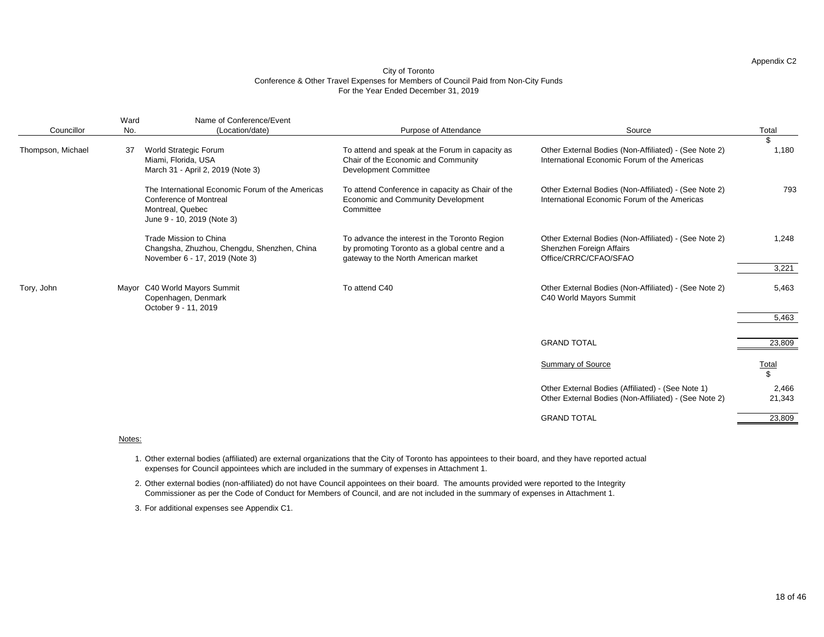#### City of Toronto Conference & Other Travel Expenses for Members of Council Paid from Non-City Funds For the Year Ended December 31, 2019

|                   | Ward | Name of Conference/Event                                                                                                            |                                                                                                                                        |                                                                                                            |                    |
|-------------------|------|-------------------------------------------------------------------------------------------------------------------------------------|----------------------------------------------------------------------------------------------------------------------------------------|------------------------------------------------------------------------------------------------------------|--------------------|
| Councillor        | No.  | (Location/date)                                                                                                                     | Purpose of Attendance                                                                                                                  | Source                                                                                                     | Total              |
| Thompson, Michael | 37   | World Strategic Forum<br>Miami, Florida, USA<br>March 31 - April 2, 2019 (Note 3)                                                   | To attend and speak at the Forum in capacity as<br>Chair of the Economic and Community<br><b>Development Committee</b>                 | Other External Bodies (Non-Affiliated) - (See Note 2)<br>International Economic Forum of the Americas      | \$<br>1,180        |
|                   |      | The International Economic Forum of the Americas<br><b>Conference of Montreal</b><br>Montreal, Quebec<br>June 9 - 10, 2019 (Note 3) | To attend Conference in capacity as Chair of the<br>Economic and Community Development<br>Committee                                    | Other External Bodies (Non-Affiliated) - (See Note 2)<br>International Economic Forum of the Americas      | 793                |
|                   |      | Trade Mission to China<br>Changsha, Zhuzhou, Chengdu, Shenzhen, China<br>November 6 - 17, 2019 (Note 3)                             | To advance the interest in the Toronto Region<br>by promoting Toronto as a global centre and a<br>gateway to the North American market | Other External Bodies (Non-Affiliated) - (See Note 2)<br>Shenzhen Foreign Affairs<br>Office/CRRC/CFAO/SFAO | 1,248              |
|                   |      |                                                                                                                                     |                                                                                                                                        |                                                                                                            | 3,221              |
| Tory, John        |      | Mayor C40 World Mayors Summit<br>Copenhagen, Denmark<br>October 9 - 11, 2019                                                        | To attend C40                                                                                                                          | Other External Bodies (Non-Affiliated) - (See Note 2)<br>C40 World Mayors Summit                           | 5,463              |
|                   |      |                                                                                                                                     |                                                                                                                                        |                                                                                                            | 5,463              |
|                   |      |                                                                                                                                     |                                                                                                                                        |                                                                                                            |                    |
|                   |      |                                                                                                                                     |                                                                                                                                        | <b>GRAND TOTAL</b>                                                                                         | 23,809             |
|                   |      |                                                                                                                                     |                                                                                                                                        | Summary of Source                                                                                          | <b>Total</b><br>\$ |
|                   |      |                                                                                                                                     |                                                                                                                                        | Other External Bodies (Affiliated) - (See Note 1)<br>Other External Bodies (Non-Affiliated) - (See Note 2) | 2,466<br>21,343    |
|                   |      |                                                                                                                                     |                                                                                                                                        | <b>GRAND TOTAL</b>                                                                                         | 23,809             |
|                   |      |                                                                                                                                     |                                                                                                                                        |                                                                                                            |                    |

#### Notes:

1. Other external bodies (affiliated) are external organizations that the City of Toronto has appointees to their board, and they have reported actual expenses for Council appointees which are included in the summary of expenses in Attachment 1.

2. Other external bodies (non-affiliated) do not have Council appointees on their board. The amounts provided were reported to the Integrity Commissioner as per the Code of Conduct for Members of Council, and are not included in the summary of expenses in Attachment 1.

3. For additional expenses see Appendix C1.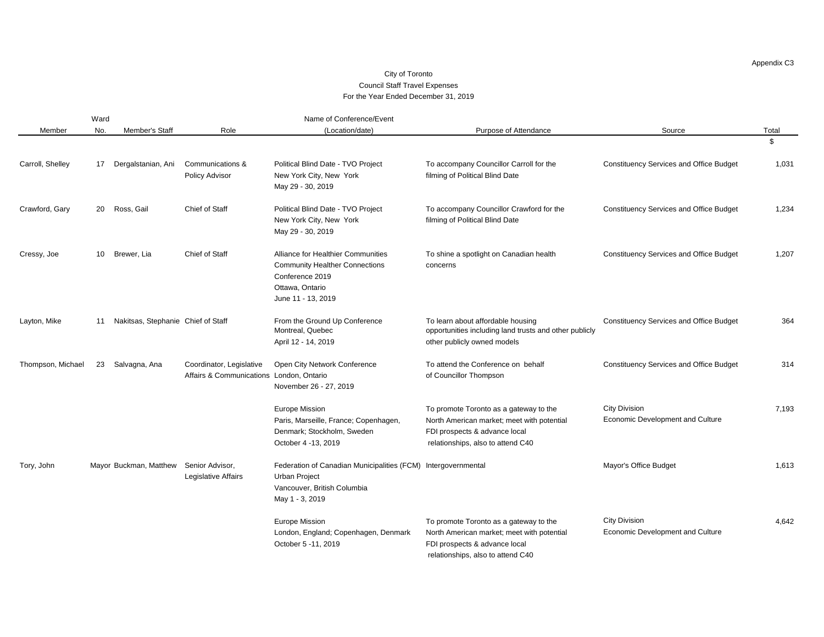#### City of Toronto Council Staff Travel Expenses For the Year Ended December 31, 2019

|                   | Ward |                                        |                                                                      | Name of Conference/Event                                                                                                                |                                                                                                                                                            |                                                          |       |
|-------------------|------|----------------------------------------|----------------------------------------------------------------------|-----------------------------------------------------------------------------------------------------------------------------------------|------------------------------------------------------------------------------------------------------------------------------------------------------------|----------------------------------------------------------|-------|
| Member            | No.  | Member's Staff                         | Role                                                                 | (Location/date)                                                                                                                         | Purpose of Attendance                                                                                                                                      | Source                                                   | Total |
|                   |      |                                        |                                                                      |                                                                                                                                         |                                                                                                                                                            |                                                          | \$    |
| Carroll, Shelley  | 17   | Dergalstanian, Ani                     | Communications &<br>Policy Advisor                                   | Political Blind Date - TVO Project<br>New York City, New York<br>May 29 - 30, 2019                                                      | To accompany Councillor Carroll for the<br>filming of Political Blind Date                                                                                 | <b>Constituency Services and Office Budget</b>           | 1,031 |
| Crawford, Gary    | 20   | Ross, Gail                             | Chief of Staff                                                       | Political Blind Date - TVO Project<br>New York City, New York<br>May 29 - 30, 2019                                                      | To accompany Councillor Crawford for the<br>filming of Political Blind Date                                                                                | <b>Constituency Services and Office Budget</b>           | 1,234 |
| Cressy, Joe       | 10   | Brewer, Lia                            | Chief of Staff                                                       | Alliance for Healthier Communities<br><b>Community Healther Connections</b><br>Conference 2019<br>Ottawa, Ontario<br>June 11 - 13, 2019 | To shine a spotlight on Canadian health<br>concerns                                                                                                        | <b>Constituency Services and Office Budget</b>           | 1,207 |
| Layton, Mike      | 11   | Nakitsas, Stephanie Chief of Staff     |                                                                      | From the Ground Up Conference<br>Montreal, Quebec<br>April 12 - 14, 2019                                                                | To learn about affordable housing<br>opportunities including land trusts and other publicly<br>other publicly owned models                                 | <b>Constituency Services and Office Budget</b>           | 364   |
| Thompson, Michael | 23   | Salvagna, Ana                          | Coordinator, Legislative<br>Affairs & Communications London, Ontario | Open City Network Conference<br>November 26 - 27, 2019                                                                                  | To attend the Conference on behalf<br>of Councillor Thompson                                                                                               | <b>Constituency Services and Office Budget</b>           | 314   |
|                   |      |                                        |                                                                      | <b>Europe Mission</b><br>Paris, Marseille, France; Copenhagen,<br>Denmark; Stockholm, Sweden<br>October 4 -13, 2019                     | To promote Toronto as a gateway to the<br>North American market; meet with potential<br>FDI prospects & advance local<br>relationships, also to attend C40 | <b>City Division</b><br>Economic Development and Culture | 7,193 |
| Tory, John        |      | Mayor Buckman, Matthew Senior Advisor, | Legislative Affairs                                                  | Federation of Canadian Municipalities (FCM) Intergovernmental<br>Urban Project<br>Vancouver, British Columbia<br>May 1 - 3, 2019        |                                                                                                                                                            | Mayor's Office Budget                                    | 1,613 |
|                   |      |                                        |                                                                      | Europe Mission<br>London, England; Copenhagen, Denmark<br>October 5 -11, 2019                                                           | To promote Toronto as a gateway to the<br>North American market; meet with potential<br>FDI prospects & advance local<br>relationships, also to attend C40 | <b>City Division</b><br>Economic Development and Culture | 4,642 |

Appendix C3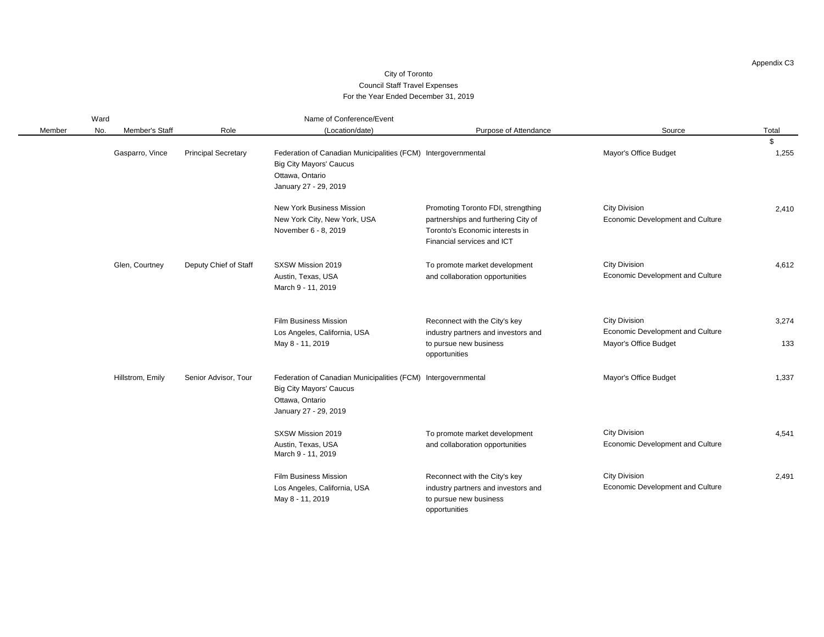#### City of Toronto Council Staff Travel Expenses For the Year Ended December 31, 2019

|        | Ward |                  |                            | Name of Conference/Event                                                                                                                    |                                                                                                                                            |                                                                                   |              |  |  |
|--------|------|------------------|----------------------------|---------------------------------------------------------------------------------------------------------------------------------------------|--------------------------------------------------------------------------------------------------------------------------------------------|-----------------------------------------------------------------------------------|--------------|--|--|
| Member | No.  | Member's Staff   | Role                       | (Location/date)                                                                                                                             | Purpose of Attendance                                                                                                                      | Source                                                                            | Total        |  |  |
|        |      | Gasparro, Vince  | <b>Principal Secretary</b> | Federation of Canadian Municipalities (FCM) Intergovernmental                                                                               |                                                                                                                                            | Mayor's Office Budget                                                             | \$<br>1,255  |  |  |
|        |      |                  |                            | <b>Big City Mayors' Caucus</b><br>Ottawa, Ontario<br>January 27 - 29, 2019                                                                  |                                                                                                                                            |                                                                                   |              |  |  |
|        |      |                  |                            | New York Business Mission<br>New York City, New York, USA<br>November 6 - 8, 2019                                                           | Promoting Toronto FDI, strengthing<br>partnerships and furthering City of<br>Toronto's Economic interests in<br>Financial services and ICT | <b>City Division</b><br>Economic Development and Culture                          | 2,410        |  |  |
|        |      | Glen, Courtney   | Deputy Chief of Staff      | SXSW Mission 2019<br>Austin, Texas, USA<br>March 9 - 11, 2019                                                                               | To promote market development<br>and collaboration opportunities                                                                           | <b>City Division</b><br>Economic Development and Culture                          | 4,612        |  |  |
|        |      |                  |                            | <b>Film Business Mission</b><br>Los Angeles, California, USA<br>May 8 - 11, 2019                                                            | Reconnect with the City's key<br>industry partners and investors and<br>to pursue new business<br>opportunities                            | <b>City Division</b><br>Economic Development and Culture<br>Mayor's Office Budget | 3,274<br>133 |  |  |
|        |      | Hillstrom, Emily | Senior Advisor, Tour       | Federation of Canadian Municipalities (FCM) Intergovernmental<br><b>Big City Mayors' Caucus</b><br>Ottawa, Ontario<br>January 27 - 29, 2019 |                                                                                                                                            | Mayor's Office Budget                                                             | 1,337        |  |  |
|        |      |                  |                            | SXSW Mission 2019<br>Austin, Texas, USA<br>March 9 - 11, 2019                                                                               | To promote market development<br>and collaboration opportunities                                                                           | <b>City Division</b><br>Economic Development and Culture                          | 4,541        |  |  |
|        |      |                  |                            | <b>Film Business Mission</b><br>Los Angeles, California, USA<br>May 8 - 11, 2019                                                            | Reconnect with the City's key<br>industry partners and investors and<br>to pursue new business<br>opportunities                            | <b>City Division</b><br>Economic Development and Culture                          | 2,491        |  |  |

Appendix C3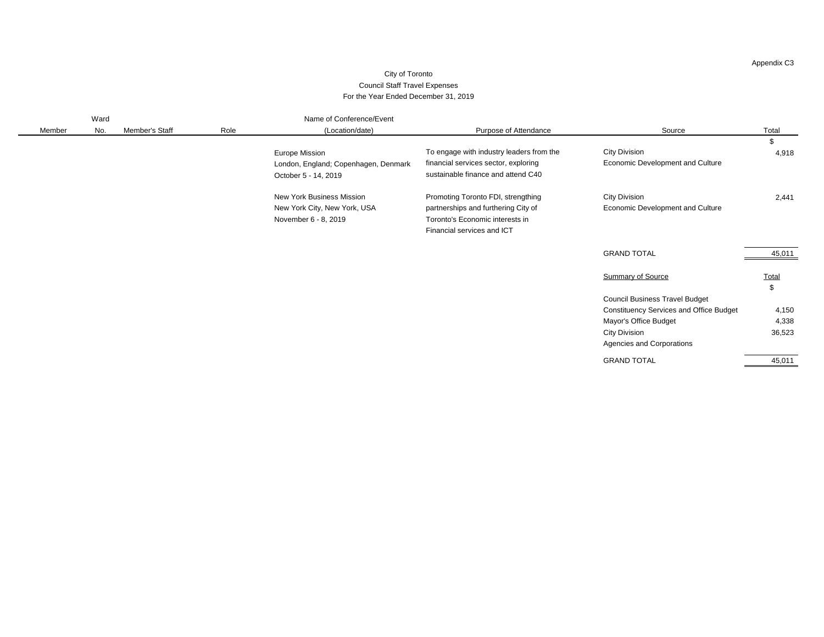#### City of Toronto Council Staff Travel Expenses For the Year Ended December 31, 2019

|        | Ward |                |      | Name of Conference/Event             |                                          |                                                |                       |
|--------|------|----------------|------|--------------------------------------|------------------------------------------|------------------------------------------------|-----------------------|
| Member | No.  | Member's Staff | Role | (Location/date)                      | Purpose of Attendance                    | Source                                         | Total                 |
|        |      |                |      |                                      |                                          |                                                | \$                    |
|        |      |                |      | <b>Europe Mission</b>                | To engage with industry leaders from the | <b>City Division</b>                           | 4,918                 |
|        |      |                |      | London, England; Copenhagen, Denmark | financial services sector, exploring     | Economic Development and Culture               |                       |
|        |      |                |      | October 5 - 14, 2019                 | sustainable finance and attend C40       |                                                |                       |
|        |      |                |      | New York Business Mission            | Promoting Toronto FDI, strengthing       | <b>City Division</b>                           | 2,441                 |
|        |      |                |      | New York City, New York, USA         | partnerships and furthering City of      | Economic Development and Culture               |                       |
|        |      |                |      | November 6 - 8, 2019                 | Toronto's Economic interests in          |                                                |                       |
|        |      |                |      |                                      | Financial services and ICT               |                                                |                       |
|        |      |                |      |                                      |                                          | <b>GRAND TOTAL</b>                             | 45,011                |
|        |      |                |      |                                      |                                          | <b>Summary of Source</b>                       | Total<br>$\mathbb{S}$ |
|        |      |                |      |                                      |                                          | <b>Council Business Travel Budget</b>          |                       |
|        |      |                |      |                                      |                                          | <b>Constituency Services and Office Budget</b> | 4,150                 |
|        |      |                |      |                                      |                                          | Mayor's Office Budget                          | 4,338                 |
|        |      |                |      |                                      |                                          | <b>City Division</b>                           | 36,523                |
|        |      |                |      |                                      |                                          | Agencies and Corporations                      |                       |
|        |      |                |      |                                      |                                          | <b>GRAND TOTAL</b>                             | 45,011                |

Appendix C3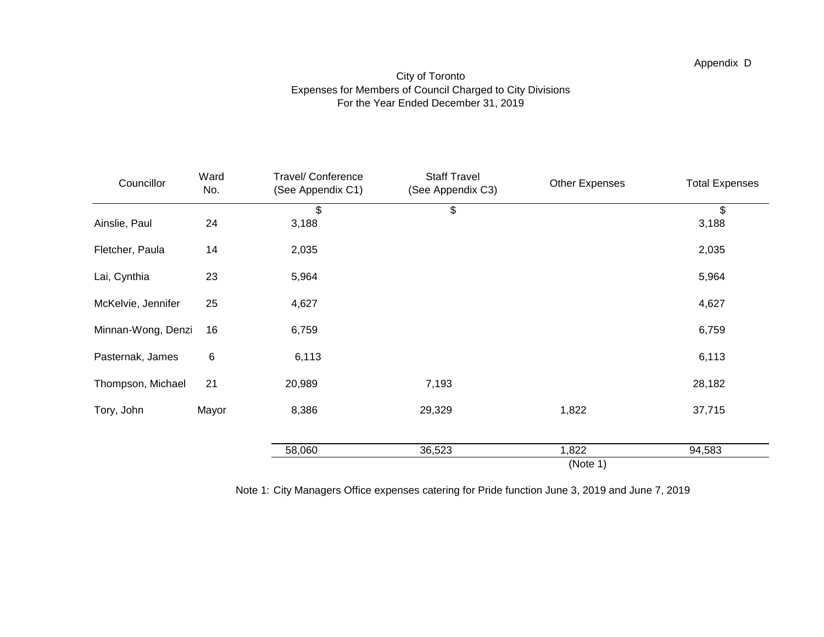### City of Toronto Expenses for Members of Council Charged to City Divisions For the Year Ended December 31, 2019

| Councillor         | Ward<br>No. | Travel/ Conference<br>(See Appendix C1) | <b>Staff Travel</b><br>(See Appendix C3) | <b>Other Expenses</b> | <b>Total Expenses</b> |
|--------------------|-------------|-----------------------------------------|------------------------------------------|-----------------------|-----------------------|
| Ainslie, Paul      | 24          | \$<br>3,188                             | \$                                       |                       | \$<br>3,188           |
| Fletcher, Paula    | 14          | 2,035                                   |                                          |                       | 2,035                 |
| Lai, Cynthia       | 23          | 5,964                                   |                                          |                       | 5,964                 |
| McKelvie, Jennifer | 25          | 4,627                                   |                                          |                       | 4,627                 |
| Minnan-Wong, Denzi | 16          | 6,759                                   |                                          |                       | 6,759                 |
| Pasternak, James   | 6           | 6,113                                   |                                          |                       | 6,113                 |
| Thompson, Michael  | 21          | 20,989                                  | 7,193                                    |                       | 28,182                |
| Tory, John         | Mayor       | 8,386                                   | 29,329                                   | 1,822                 | 37,715                |
|                    |             | 58,060                                  | 36,523                                   | 1,822                 | 94,583                |
|                    |             |                                         |                                          | (Note 1)              |                       |

Note 1: City Managers Office expenses catering for Pride function June 3, 2019 and June 7, 2019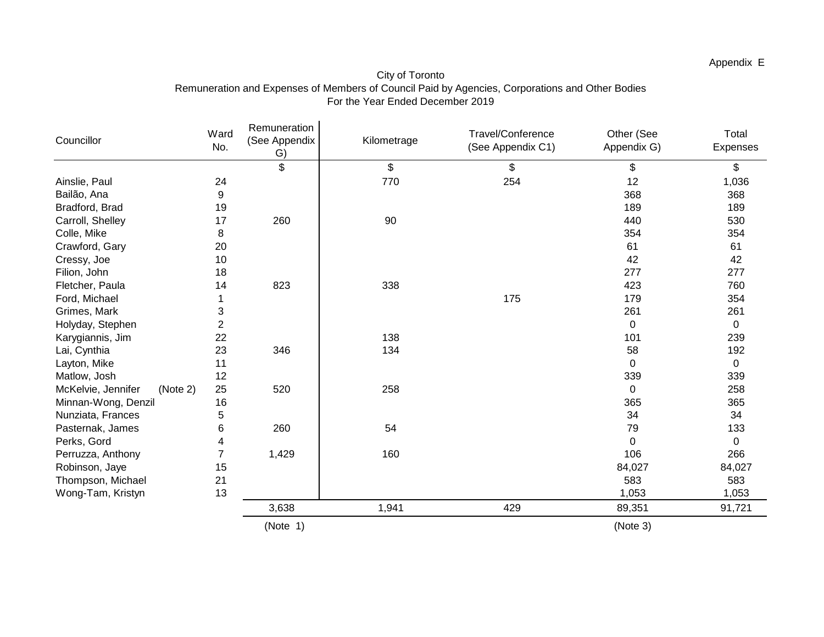| Councillor                     | Ward<br>No.    | Remuneration<br>(See Appendix<br>G) | Kilometrage | Travel/Conference<br>(See Appendix C1) | Other (See<br>Appendix G) | Total<br>Expenses |
|--------------------------------|----------------|-------------------------------------|-------------|----------------------------------------|---------------------------|-------------------|
|                                |                | \$                                  | \$          | \$                                     | \$                        | \$                |
| Ainslie, Paul                  | 24             |                                     | 770         | 254                                    | 12                        | 1,036             |
| Bailão, Ana                    | 9              |                                     |             |                                        | 368                       | 368               |
| Bradford, Brad                 | 19             |                                     |             |                                        | 189                       | 189               |
| Carroll, Shelley               | 17             | 260                                 | 90          |                                        | 440                       | 530               |
| Colle, Mike                    | 8              |                                     |             |                                        | 354                       | 354               |
| Crawford, Gary                 | 20             |                                     |             |                                        | 61                        | 61                |
| Cressy, Joe                    | 10             |                                     |             |                                        | 42                        | 42                |
| Filion, John                   | 18             |                                     |             |                                        | 277                       | 277               |
| Fletcher, Paula                | 14             | 823                                 | 338         |                                        | 423                       | 760               |
| Ford, Michael                  |                |                                     |             | 175                                    | 179                       | 354               |
| Grimes, Mark                   | 3              |                                     |             |                                        | 261                       | 261               |
| Holyday, Stephen               | $\overline{2}$ |                                     |             |                                        | 0                         | $\Omega$          |
| Karygiannis, Jim               | 22             |                                     | 138         |                                        | 101                       | 239               |
| Lai, Cynthia                   | 23             | 346                                 | 134         |                                        | 58                        | 192               |
| Layton, Mike                   | 11             |                                     |             |                                        | $\Omega$                  | 0                 |
| Matlow, Josh                   | 12             |                                     |             |                                        | 339                       | 339               |
| McKelvie, Jennifer<br>(Note 2) | 25             | 520                                 | 258         |                                        | 0                         | 258               |
| Minnan-Wong, Denzil            | 16             |                                     |             |                                        | 365                       | 365               |
| Nunziata, Frances              | 5              |                                     |             |                                        | 34                        | 34                |
| Pasternak, James               | 6              | 260                                 | 54          |                                        | 79                        | 133               |
| Perks, Gord                    | 4              |                                     |             |                                        | $\Omega$                  | 0                 |
| Perruzza, Anthony              | $\overline{7}$ | 1,429                               | 160         |                                        | 106                       | 266               |
| Robinson, Jaye                 | 15             |                                     |             |                                        | 84,027                    | 84,027            |
| Thompson, Michael              | 21             |                                     |             |                                        | 583                       | 583               |
| Wong-Tam, Kristyn              | 13             |                                     |             |                                        | 1,053                     | 1,053             |
|                                |                | 3,638                               | 1,941       | 429                                    | 89,351                    | 91,721            |
|                                |                | (Note 1)                            |             |                                        | (Note 3)                  |                   |

### City of Toronto Remuneration and Expenses of Members of Council Paid by Agencies, Corporations and Other Bodies For the Year Ended December 2019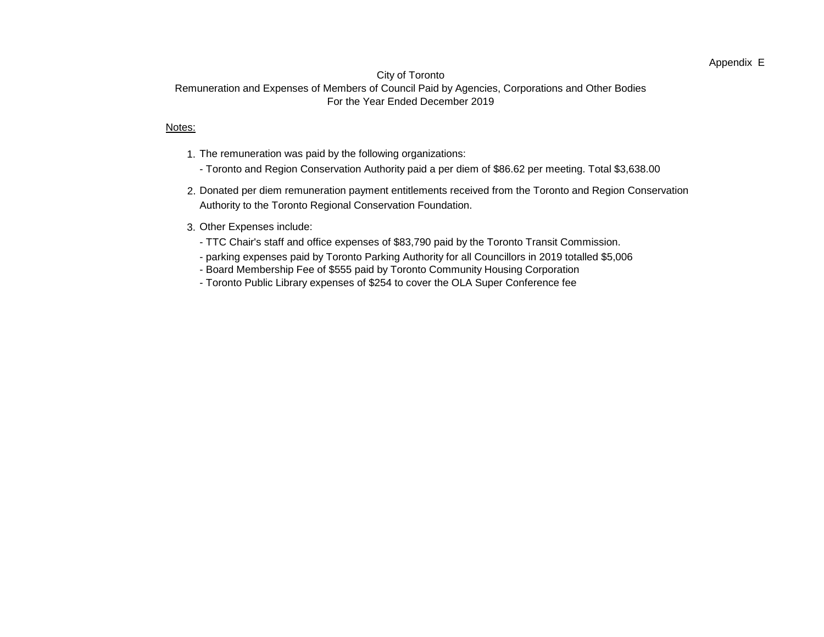### Appendix E

### City of Toronto

### Remuneration and Expenses of Members of Council Paid by Agencies, Corporations and Other Bodies For the Year Ended December 2019

#### Notes:

- 1. The remuneration was paid by the following organizations:
	- Toronto and Region Conservation Authority paid a per diem of \$86.62 per meeting. Total \$3,638.00
- 2. Donated per diem remuneration payment entitlements received from the Toronto and Region Conservation Authority to the Toronto Regional Conservation Foundation.

### 3. Other Expenses include:

- TTC Chair's staff and office expenses of \$83,790 paid by the Toronto Transit Commission.
- parking expenses paid by Toronto Parking Authority for all Councillors in 2019 totalled \$5,006
- Board Membership Fee of \$555 paid by Toronto Community Housing Corporation
- Toronto Public Library expenses of \$254 to cover the OLA Super Conference fee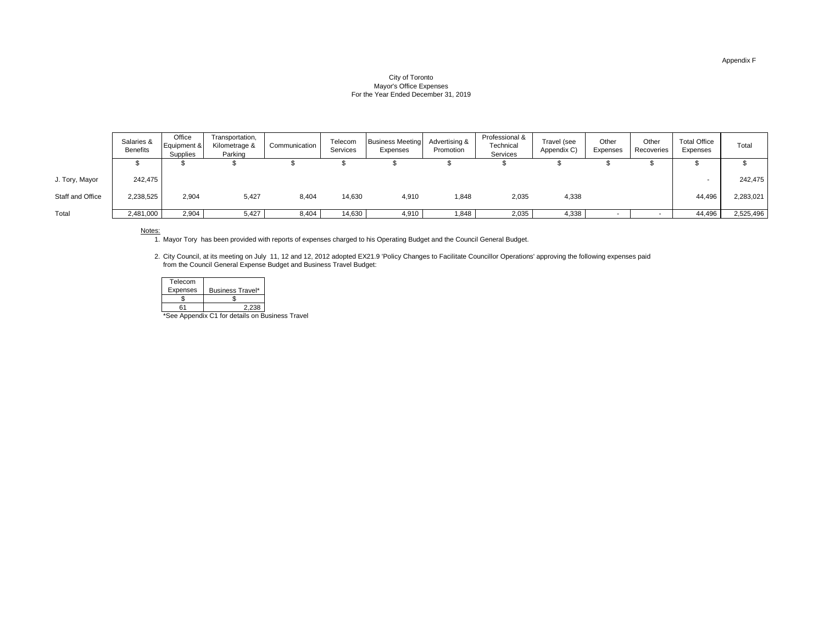#### City of Toronto Mayor's Office Expenses For the Year Ended December 31, 2019

|                  | Salaries &<br><b>Benefits</b> | Office<br>Equipment &<br>Supplies | Transportation,<br>Kilometrage &<br>Parking | Communication | Telecom<br>Services | <b>Business Meeting</b><br>Expenses | Advertising &<br>Promotion | Professional &<br>Technical<br>Services | Travel (see<br>Appendix C) | Other<br>Expenses | Other<br>Recoveries | <b>Total Office</b><br>Expenses | Total     |
|------------------|-------------------------------|-----------------------------------|---------------------------------------------|---------------|---------------------|-------------------------------------|----------------------------|-----------------------------------------|----------------------------|-------------------|---------------------|---------------------------------|-----------|
|                  | æ                             |                                   |                                             |               |                     |                                     |                            |                                         |                            |                   |                     |                                 |           |
| J. Tory, Mayor   | 242,475                       |                                   |                                             |               |                     |                                     |                            |                                         |                            |                   |                     |                                 | 242,475   |
| Staff and Office | 2,238,525                     | 2,904                             | 5,427                                       | 8,404         | 14,630              | 4,910                               | 1,848                      | 2,035                                   | 4,338                      |                   |                     | 44,496                          | 2,283,021 |
| Total            | 2,481,000                     | 2,904                             | 5,427                                       | 8,404         | 14,630              | 4,910                               | .848                       | 2,035                                   | 4,338                      |                   |                     | 44,496                          | 2,525,496 |

Notes:

1. Mayor Tory has been provided with reports of expenses charged to his Operating Budget and the Council General Budget.

2. City Council, at its meeting on July 11, 12 and 12, 2012 adopted EX21.9 'Policy Changes to Facilitate Councillor Operations' approving the following expenses paid from the Council General Expense Budget and Business Travel Budget:

| Telecom         |                                |
|-----------------|--------------------------------|
| <b>Expenses</b> | <b>Business Travel*</b>        |
|                 |                                |
| 61              | 2.238                          |
|                 | $An point of the data is an D$ |

\*See Appendix C1 for details on Business Travel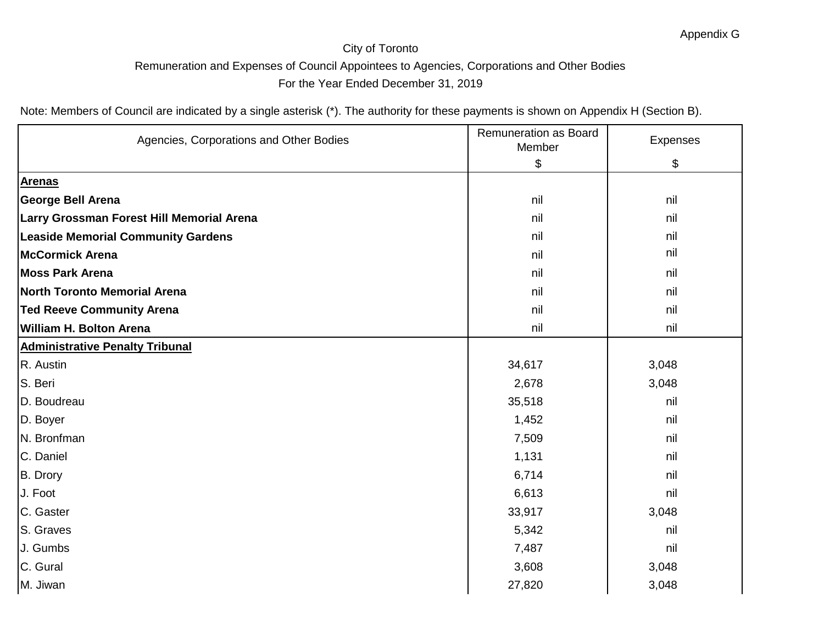| Agencies, Corporations and Other Bodies   | Remuneration as Board<br>Member | Expenses |
|-------------------------------------------|---------------------------------|----------|
|                                           | \$                              | \$       |
| <b>Arenas</b>                             |                                 |          |
| <b>George Bell Arena</b>                  | nil                             | nil      |
| Larry Grossman Forest Hill Memorial Arena | nil                             | nil      |
| <b>Leaside Memorial Community Gardens</b> | nil                             | nil      |
| <b>McCormick Arena</b>                    | nil                             | nil      |
| <b>Moss Park Arena</b>                    | nil                             | nil      |
| <b>North Toronto Memorial Arena</b>       | nil                             | nil      |
| <b>Ted Reeve Community Arena</b>          | nil                             | nil      |
| William H. Bolton Arena                   | nil                             | nil      |
| <b>Administrative Penalty Tribunal</b>    |                                 |          |
| R. Austin                                 | 34,617                          | 3,048    |
| S. Beri                                   | 2,678                           | 3,048    |
| D. Boudreau                               | 35,518                          | nil      |
| D. Boyer                                  | 1,452                           | nil      |
| N. Bronfman                               | 7,509                           | nil      |
| C. Daniel                                 | 1,131                           | nil      |
| B. Drory                                  | 6,714                           | nil      |
| J. Foot                                   | 6,613                           | nil      |
| C. Gaster                                 | 33,917                          | 3,048    |
| S. Graves                                 | 5,342                           | nil      |
| J. Gumbs                                  | 7,487                           | nil      |
| C. Gural                                  | 3,608                           | 3,048    |
| M. Jiwan                                  | 27,820                          | 3,048    |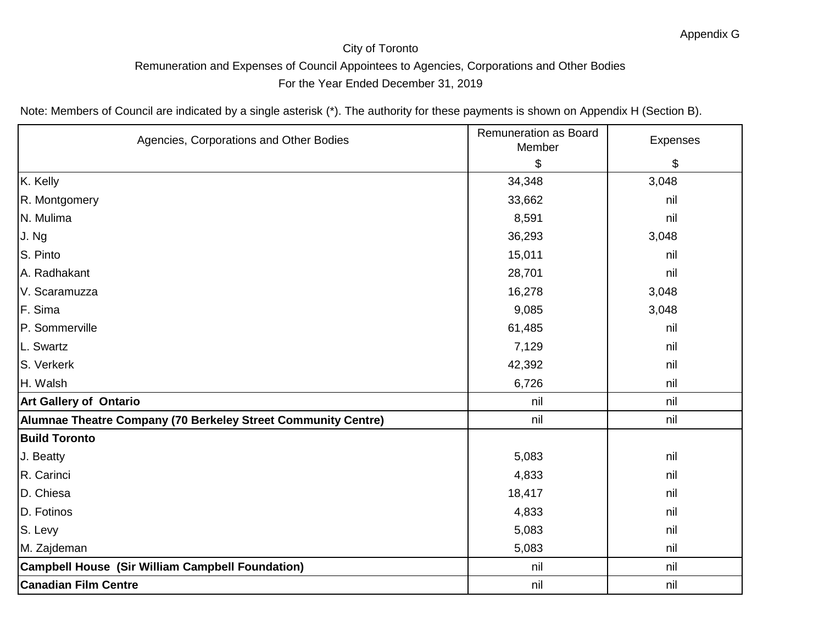| Agencies, Corporations and Other Bodies                       | Remuneration as Board<br>Member | Expenses |
|---------------------------------------------------------------|---------------------------------|----------|
|                                                               | \$                              | \$       |
| K. Kelly                                                      | 34,348                          | 3,048    |
| R. Montgomery                                                 | 33,662                          | nil      |
| N. Mulima                                                     | 8,591                           | nil      |
| J. Ng                                                         | 36,293                          | 3,048    |
| S. Pinto                                                      | 15,011                          | nil      |
| A. Radhakant                                                  | 28,701                          | nil      |
| V. Scaramuzza                                                 | 16,278                          | 3,048    |
| F. Sima                                                       | 9,085                           | 3,048    |
| P. Sommerville                                                | 61,485                          | nil      |
| L. Swartz                                                     | 7,129                           | nil      |
| S. Verkerk                                                    | 42,392                          | nil      |
| H. Walsh                                                      | 6,726                           | nil      |
| <b>Art Gallery of Ontario</b>                                 | nil                             | nil      |
| Alumnae Theatre Company (70 Berkeley Street Community Centre) | nil                             | nil      |
| <b>Build Toronto</b>                                          |                                 |          |
| J. Beatty                                                     | 5,083                           | nil      |
| R. Carinci                                                    | 4,833                           | nil      |
| D. Chiesa                                                     | 18,417                          | nil      |
| D. Fotinos                                                    | 4,833                           | nil      |
| S. Levy                                                       | 5,083                           | nil      |
| M. Zajdeman                                                   | 5,083                           | nil      |
| Campbell House (Sir William Campbell Foundation)              | nil                             | nil      |
| <b>Canadian Film Centre</b>                                   | nil                             | nil      |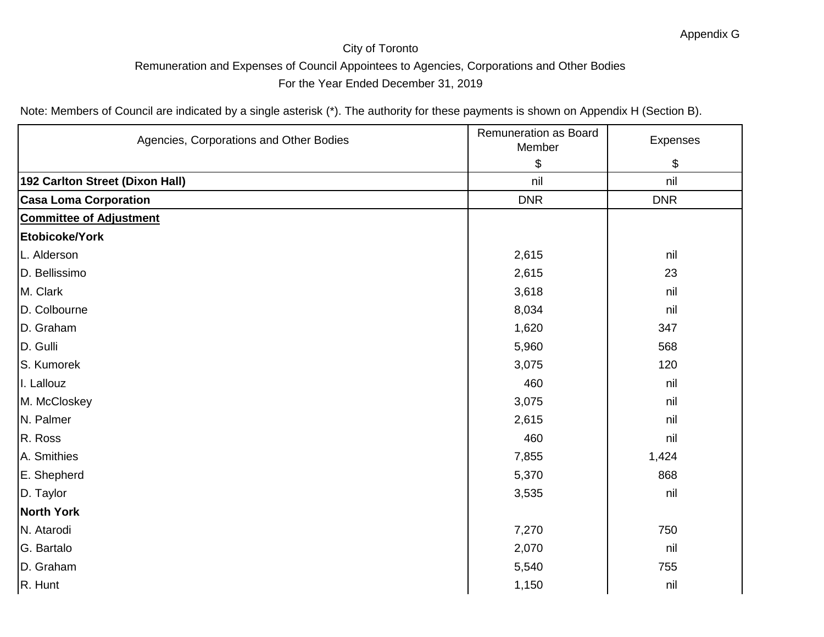| Agencies, Corporations and Other Bodies | Remuneration as Board<br>Member | Expenses   |
|-----------------------------------------|---------------------------------|------------|
|                                         | \$                              | \$         |
| 192 Carlton Street (Dixon Hall)         | nil                             | nil        |
| <b>Casa Loma Corporation</b>            | <b>DNR</b>                      | <b>DNR</b> |
| <b>Committee of Adjustment</b>          |                                 |            |
| Etobicoke/York                          |                                 |            |
| L. Alderson                             | 2,615                           | nil        |
| D. Bellissimo                           | 2,615                           | 23         |
| M. Clark                                | 3,618                           | nil        |
| D. Colbourne                            | 8,034                           | nil        |
| D. Graham                               | 1,620                           | 347        |
| D. Gulli                                | 5,960                           | 568        |
| S. Kumorek                              | 3,075                           | 120        |
| I. Lallouz                              | 460                             | nil        |
| M. McCloskey                            | 3,075                           | nil        |
| N. Palmer                               | 2,615                           | nil        |
| R. Ross                                 | 460                             | nil        |
| A. Smithies                             | 7,855                           | 1,424      |
| E. Shepherd                             | 5,370                           | 868        |
| D. Taylor                               | 3,535                           | nil        |
| <b>North York</b>                       |                                 |            |
| N. Atarodi                              | 7,270                           | 750        |
| G. Bartalo                              | 2,070                           | nil        |
| D. Graham                               | 5,540                           | 755        |
| R. Hunt                                 | 1,150                           | nil        |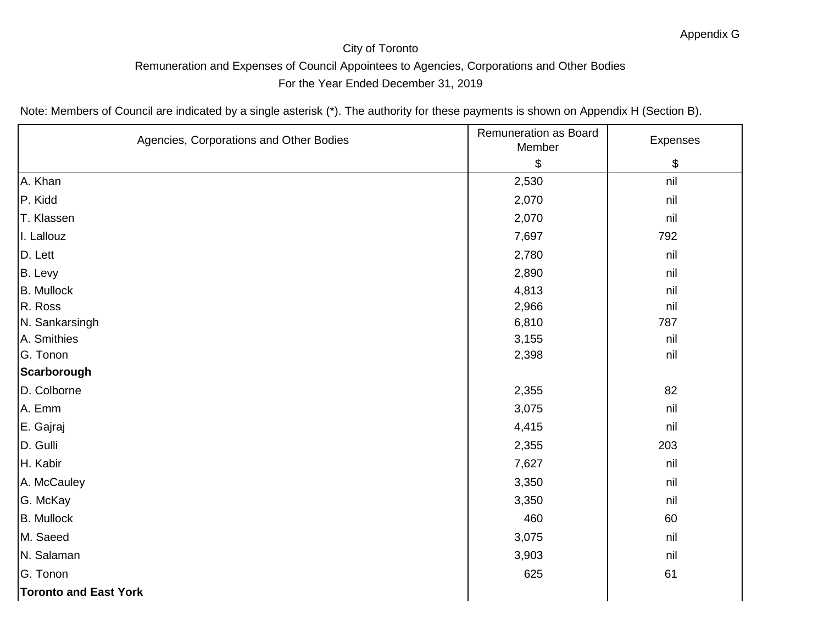| Agencies, Corporations and Other Bodies | Remuneration as Board<br>Member | Expenses |
|-----------------------------------------|---------------------------------|----------|
|                                         | \$                              | \$       |
| A. Khan                                 | 2,530                           | nil      |
| P. Kidd                                 | 2,070                           | nil      |
| T. Klassen                              | 2,070                           | nil      |
| I. Lallouz                              | 7,697                           | 792      |
| D. Lett                                 | 2,780                           | nil      |
| B. Levy                                 | 2,890                           | nil      |
| <b>B.</b> Mullock                       | 4,813                           | nil      |
| R. Ross                                 | 2,966                           | nil      |
| N. Sankarsingh                          | 6,810                           | 787      |
| A. Smithies                             | 3,155                           | nil      |
| G. Tonon                                | 2,398                           | nil      |
| Scarborough                             |                                 |          |
| D. Colborne                             | 2,355                           | 82       |
| A. Emm                                  | 3,075                           | nil      |
| E. Gajraj                               | 4,415                           | nil      |
| D. Gulli                                | 2,355                           | 203      |
| H. Kabir                                | 7,627                           | nil      |
| A. McCauley                             | 3,350                           | nil      |
| G. McKay                                | 3,350                           | nil      |
| <b>B.</b> Mullock                       | 460                             | 60       |
| M. Saeed                                | 3,075                           | nil      |
| N. Salaman                              | 3,903                           | nil      |
| G. Tonon                                | 625                             | 61       |
| <b>Toronto and East York</b>            |                                 |          |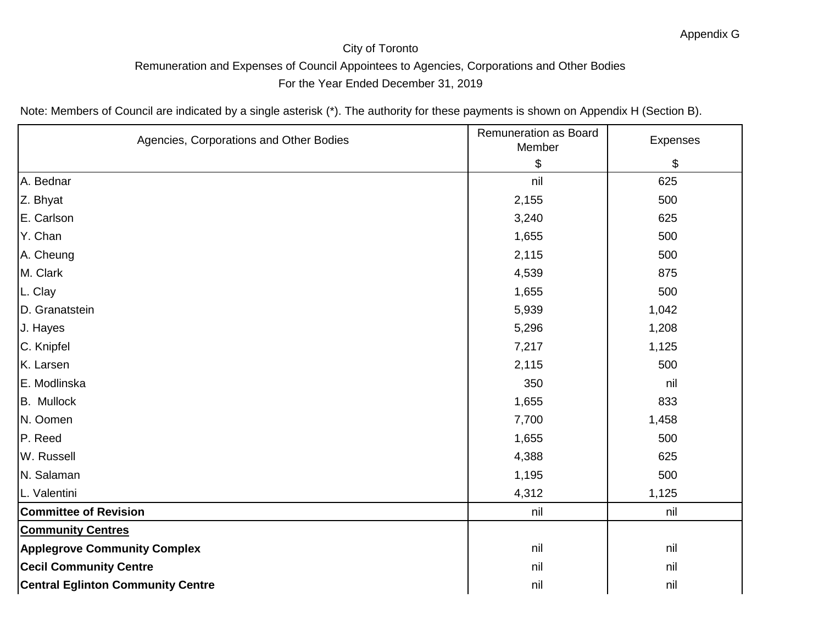| Agencies, Corporations and Other Bodies  | Remuneration as Board<br>Member | Expenses |
|------------------------------------------|---------------------------------|----------|
|                                          | \$                              | \$       |
| A. Bednar                                | nil                             | 625      |
| Z. Bhyat                                 | 2,155                           | 500      |
| E. Carlson                               | 3,240                           | 625      |
| Y. Chan                                  | 1,655                           | 500      |
| A. Cheung                                | 2,115                           | 500      |
| M. Clark                                 | 4,539                           | 875      |
| L. Clay                                  | 1,655                           | 500      |
| D. Granatstein                           | 5,939                           | 1,042    |
| J. Hayes                                 | 5,296                           | 1,208    |
| C. Knipfel                               | 7,217                           | 1,125    |
| K. Larsen                                | 2,115                           | 500      |
| E. Modlinska                             | 350                             | nil      |
| <b>B.</b> Mullock                        | 1,655                           | 833      |
| N. Oomen                                 | 7,700                           | 1,458    |
| P. Reed                                  | 1,655                           | 500      |
| W. Russell                               | 4,388                           | 625      |
| N. Salaman                               | 1,195                           | 500      |
| L. Valentini                             | 4,312                           | 1,125    |
| <b>Committee of Revision</b>             | nil                             | nil      |
| <b>Community Centres</b>                 |                                 |          |
| <b>Applegrove Community Complex</b>      | nil                             | nil      |
| <b>Cecil Community Centre</b>            | nil                             | nil      |
| <b>Central Eglinton Community Centre</b> | nil                             | nil      |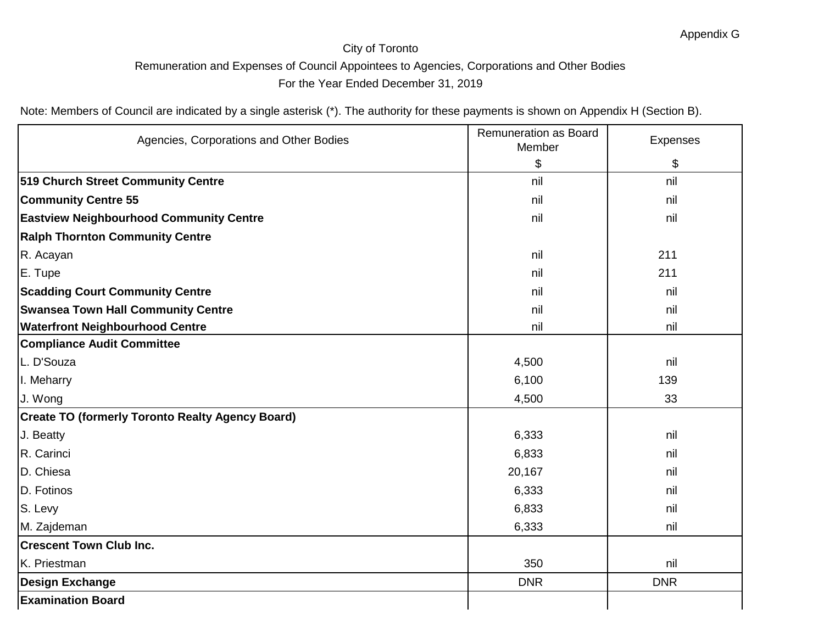| Agencies, Corporations and Other Bodies                 | Remuneration as Board<br>Member | Expenses   |
|---------------------------------------------------------|---------------------------------|------------|
|                                                         | \$                              | \$         |
| 519 Church Street Community Centre                      | nil                             | nil        |
| <b>Community Centre 55</b>                              | nil                             | nil        |
| <b>Eastview Neighbourhood Community Centre</b>          | nil                             | nil        |
| <b>Ralph Thornton Community Centre</b>                  |                                 |            |
| R. Acayan                                               | nil                             | 211        |
| E. Tupe                                                 | nil                             | 211        |
| <b>Scadding Court Community Centre</b>                  | nil                             | nil        |
| <b>Swansea Town Hall Community Centre</b>               | nil                             | nil        |
| <b>Waterfront Neighbourhood Centre</b>                  | nil                             | nil        |
| <b>Compliance Audit Committee</b>                       |                                 |            |
| L. D'Souza                                              | 4,500                           | nil        |
| I. Meharry                                              | 6,100                           | 139        |
| J. Wong                                                 | 4,500                           | 33         |
| <b>Create TO (formerly Toronto Realty Agency Board)</b> |                                 |            |
| J. Beatty                                               | 6,333                           | nil        |
| R. Carinci                                              | 6,833                           | nil        |
| D. Chiesa                                               | 20,167                          | nil        |
| D. Fotinos                                              | 6,333                           | nil        |
| S. Levy                                                 | 6,833                           | nil        |
| M. Zajdeman                                             | 6,333                           | nil        |
| <b>Crescent Town Club Inc.</b>                          |                                 |            |
| K. Priestman                                            | 350                             | nil        |
| <b>Design Exchange</b>                                  | <b>DNR</b>                      | <b>DNR</b> |
| <b>Examination Board</b>                                |                                 |            |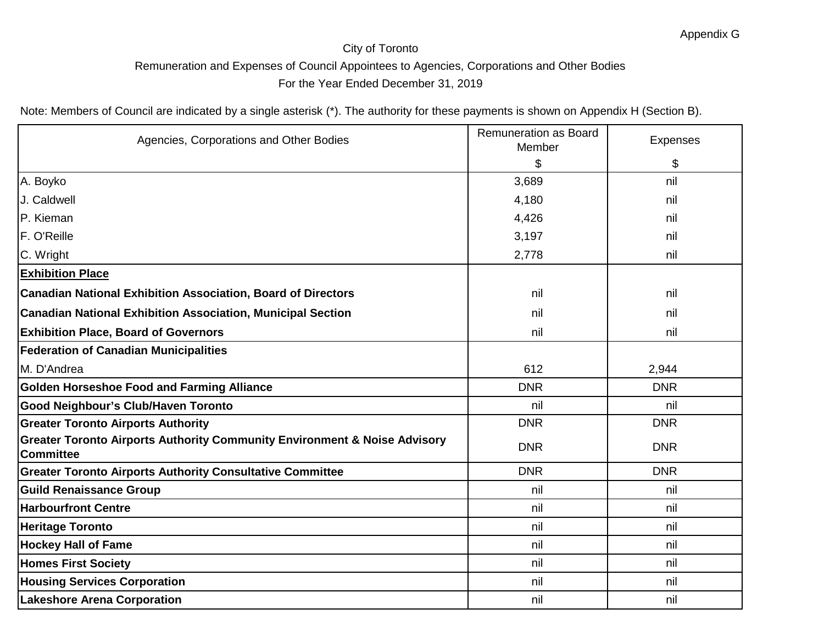| Agencies, Corporations and Other Bodies                                                                  | Remuneration as Board<br>Member | <b>Expenses</b> |
|----------------------------------------------------------------------------------------------------------|---------------------------------|-----------------|
|                                                                                                          | \$                              | \$              |
| A. Boyko                                                                                                 | 3,689                           | nil             |
| J. Caldwell                                                                                              | 4,180                           | nil             |
| <b>P.</b> Kieman                                                                                         | 4,426                           | nil             |
| F. O'Reille                                                                                              | 3,197                           | nil             |
| C. Wright                                                                                                | 2,778                           | nil             |
| <b>Exhibition Place</b>                                                                                  |                                 |                 |
| <b>Canadian National Exhibition Association, Board of Directors</b>                                      | nil                             | nil             |
| <b>Canadian National Exhibition Association, Municipal Section</b>                                       | nil                             | nil             |
| <b>Exhibition Place, Board of Governors</b>                                                              | nil                             | nil             |
| <b>Federation of Canadian Municipalities</b>                                                             |                                 |                 |
| M. D'Andrea                                                                                              | 612                             | 2,944           |
| <b>Golden Horseshoe Food and Farming Alliance</b>                                                        | <b>DNR</b>                      | <b>DNR</b>      |
| <b>Good Neighbour's Club/Haven Toronto</b>                                                               | nil                             | nil             |
| <b>Greater Toronto Airports Authority</b>                                                                | <b>DNR</b>                      | <b>DNR</b>      |
| <b>Greater Toronto Airports Authority Community Environment &amp; Noise Advisory</b><br><b>Committee</b> | <b>DNR</b>                      | <b>DNR</b>      |
| <b>Greater Toronto Airports Authority Consultative Committee</b>                                         | <b>DNR</b>                      | <b>DNR</b>      |
| <b>Guild Renaissance Group</b>                                                                           | nil                             | nil             |
| <b>Harbourfront Centre</b>                                                                               | nil                             | nil             |
| <b>Heritage Toronto</b>                                                                                  | nil                             | nil             |
| <b>Hockey Hall of Fame</b>                                                                               | nil                             | nil             |
| <b>Homes First Society</b>                                                                               | nil                             | nil             |
| <b>Housing Services Corporation</b>                                                                      | nil                             | nil             |
| <b>Lakeshore Arena Corporation</b>                                                                       | nil                             | nil             |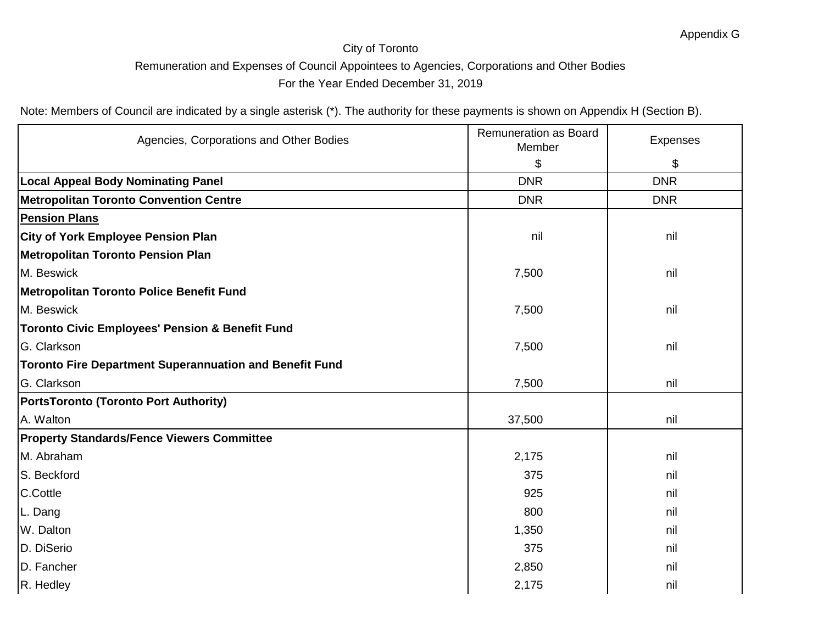| Agencies, Corporations and Other Bodies                        | Remuneration as Board<br>Member | Expenses   |
|----------------------------------------------------------------|---------------------------------|------------|
|                                                                | \$                              | \$         |
| <b>Local Appeal Body Nominating Panel</b>                      | <b>DNR</b>                      | <b>DNR</b> |
| <b>Metropolitan Toronto Convention Centre</b>                  | <b>DNR</b>                      | <b>DNR</b> |
| <b>Pension Plans</b>                                           |                                 |            |
| <b>City of York Employee Pension Plan</b>                      | nil                             | nil        |
| <b>Metropolitan Toronto Pension Plan</b>                       |                                 |            |
| M. Beswick                                                     | 7,500                           | nil        |
| Metropolitan Toronto Police Benefit Fund                       |                                 |            |
| M. Beswick                                                     | 7,500                           | nil        |
| <b>Toronto Civic Employees' Pension &amp; Benefit Fund</b>     |                                 |            |
| G. Clarkson                                                    | 7,500                           | nil        |
| <b>Toronto Fire Department Superannuation and Benefit Fund</b> |                                 |            |
| G. Clarkson                                                    | 7,500                           | nil        |
| <b>PortsToronto (Toronto Port Authority)</b>                   |                                 |            |
| A. Walton                                                      | 37,500                          | nil        |
| <b>Property Standards/Fence Viewers Committee</b>              |                                 |            |
| M. Abraham                                                     | 2,175                           | nil        |
| S. Beckford                                                    | 375                             | nil        |
| C.Cottle                                                       | 925                             | nil        |
| L. Dang                                                        | 800                             | nil        |
| W. Dalton                                                      | 1,350                           | nil        |
| D. DiSerio                                                     | 375                             | nil        |
| D. Fancher                                                     | 2,850                           | nil        |
| R. Hedley                                                      | 2,175                           | nil        |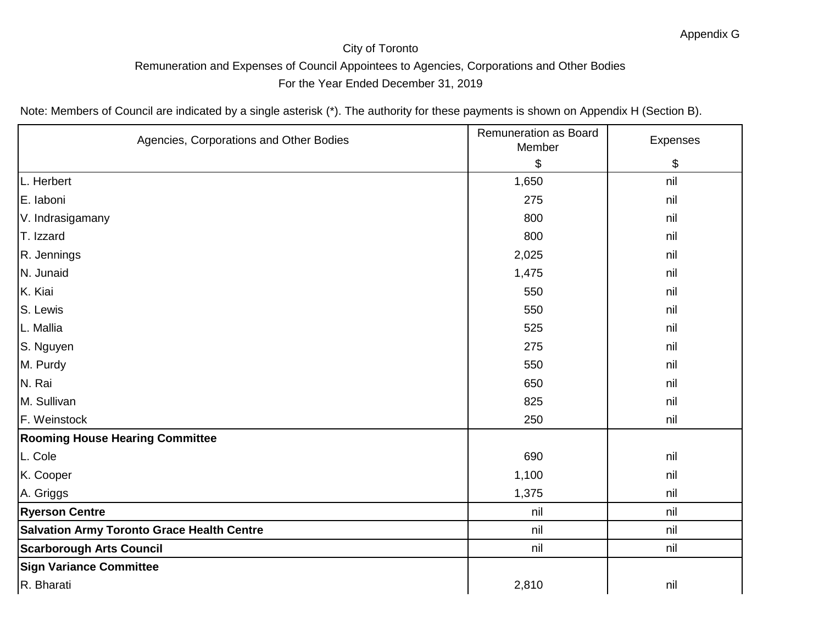| Agencies, Corporations and Other Bodies           | Remuneration as Board<br>Member | Expenses |
|---------------------------------------------------|---------------------------------|----------|
|                                                   | \$                              | \$       |
| L. Herbert                                        | 1,650                           | nil      |
| E. laboni                                         | 275                             | nil      |
| V. Indrasigamany                                  | 800                             | nil      |
| T. Izzard                                         | 800                             | nil      |
| R. Jennings                                       | 2,025                           | nil      |
| N. Junaid                                         | 1,475                           | nil      |
| K. Kiai                                           | 550                             | nil      |
| S. Lewis                                          | 550                             | nil      |
| L. Mallia                                         | 525                             | nil      |
| S. Nguyen                                         | 275                             | nil      |
| M. Purdy                                          | 550                             | nil      |
| N. Rai                                            | 650                             | nil      |
| M. Sullivan                                       | 825                             | nil      |
| F. Weinstock                                      | 250                             | nil      |
| <b>Rooming House Hearing Committee</b>            |                                 |          |
| L. Cole                                           | 690                             | nil      |
| K. Cooper                                         | 1,100                           | nil      |
| A. Griggs                                         | 1,375                           | nil      |
| <b>Ryerson Centre</b>                             | nil                             | nil      |
| <b>Salvation Army Toronto Grace Health Centre</b> | nil                             | nil      |
| <b>Scarborough Arts Council</b>                   | nil                             | nil      |
| <b>Sign Variance Committee</b>                    |                                 |          |
| R. Bharati                                        | 2,810                           | nil      |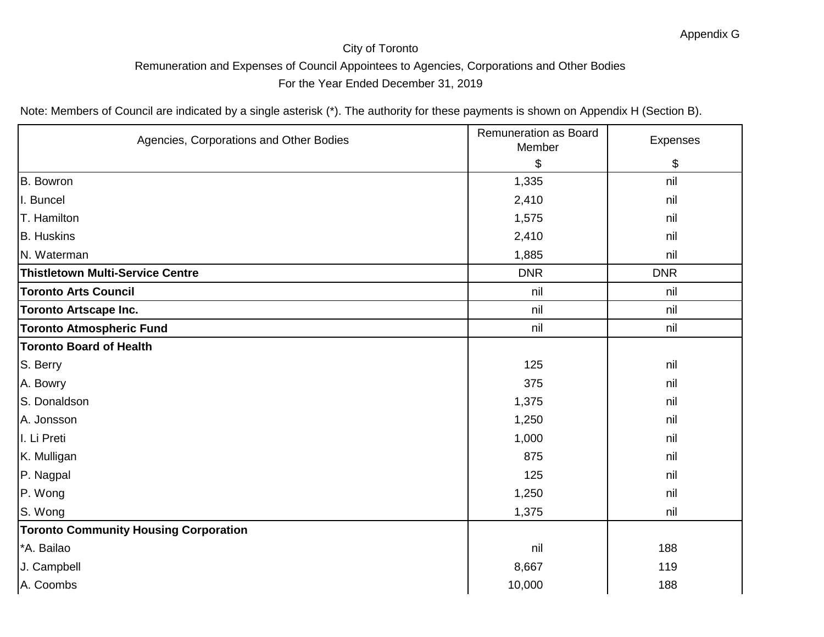| Agencies, Corporations and Other Bodies      | Remuneration as Board<br>Member | Expenses   |
|----------------------------------------------|---------------------------------|------------|
|                                              | \$                              | \$         |
| <b>B.</b> Bowron                             | 1,335                           | nil        |
| I. Buncel                                    | 2,410                           | nil        |
| T. Hamilton                                  | 1,575                           | nil        |
| <b>B.</b> Huskins                            | 2,410                           | nil        |
| N. Waterman                                  | 1,885                           | nil        |
| <b>Thistletown Multi-Service Centre</b>      | <b>DNR</b>                      | <b>DNR</b> |
| <b>Toronto Arts Council</b>                  | nil                             | nil        |
| <b>Toronto Artscape Inc.</b>                 | nil                             | nil        |
| <b>Toronto Atmospheric Fund</b>              | nil                             | nil        |
| <b>Toronto Board of Health</b>               |                                 |            |
| S. Berry                                     | 125                             | nil        |
| A. Bowry                                     | 375                             | nil        |
| S. Donaldson                                 | 1,375                           | nil        |
| A. Jonsson                                   | 1,250                           | nil        |
| I. Li Preti                                  | 1,000                           | nil        |
| K. Mulligan                                  | 875                             | nil        |
| P. Nagpal                                    | 125                             | nil        |
| P. Wong                                      | 1,250                           | nil        |
| S. Wong                                      | 1,375                           | nil        |
| <b>Toronto Community Housing Corporation</b> |                                 |            |
| *A. Bailao                                   | nil                             | 188        |
| J. Campbell                                  | 8,667                           | 119        |
| A. Coombs                                    | 10,000                          | 188        |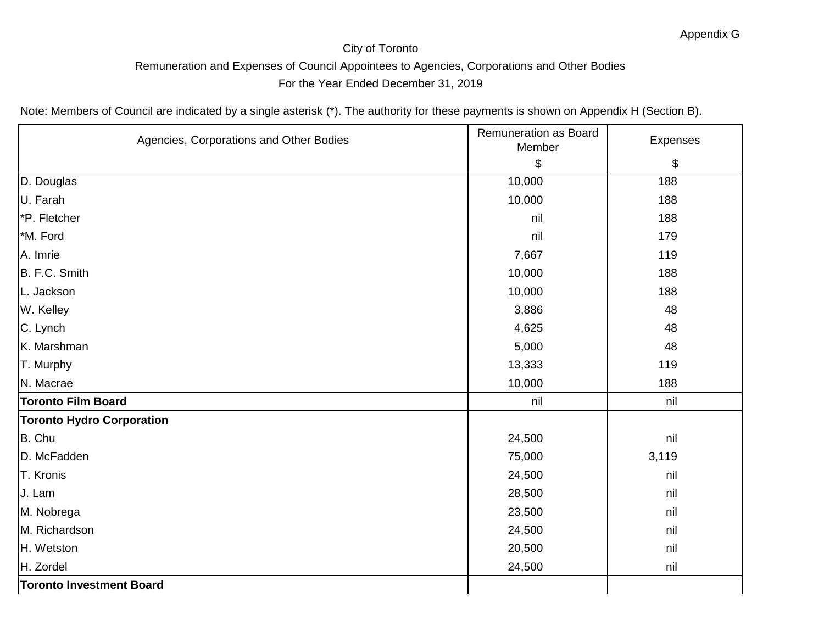| Agencies, Corporations and Other Bodies | Remuneration as Board<br>Member | Expenses |
|-----------------------------------------|---------------------------------|----------|
|                                         | \$                              | \$       |
| D. Douglas                              | 10,000                          | 188      |
| U. Farah                                | 10,000                          | 188      |
| *P. Fletcher                            | nil                             | 188      |
| *M. Ford                                | nil                             | 179      |
| A. Imrie                                | 7,667                           | 119      |
| B. F.C. Smith                           | 10,000                          | 188      |
| L. Jackson                              | 10,000                          | 188      |
| W. Kelley                               | 3,886                           | 48       |
| C. Lynch                                | 4,625                           | 48       |
| K. Marshman                             | 5,000                           | 48       |
| T. Murphy                               | 13,333                          | 119      |
| N. Macrae                               | 10,000                          | 188      |
| <b>Toronto Film Board</b>               | nil                             | nil      |
| <b>Toronto Hydro Corporation</b>        |                                 |          |
| B. Chu                                  | 24,500                          | nil      |
| D. McFadden                             | 75,000                          | 3,119    |
| T. Kronis                               | 24,500                          | nil      |
| J. Lam                                  | 28,500                          | nil      |
| M. Nobrega                              | 23,500                          | nil      |
| M. Richardson                           | 24,500                          | nil      |
| H. Wetston                              | 20,500                          | nil      |
| H. Zordel                               | 24,500                          | nil      |
| <b>Toronto Investment Board</b>         |                                 |          |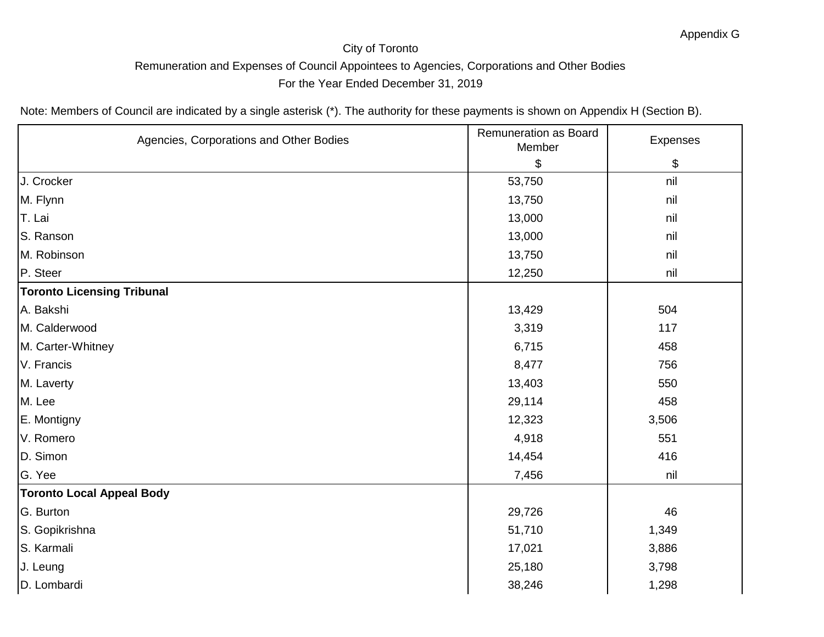| Agencies, Corporations and Other Bodies | Remuneration as Board<br>Member | Expenses |
|-----------------------------------------|---------------------------------|----------|
|                                         | \$                              | \$       |
| J. Crocker                              | 53,750                          | nil      |
| M. Flynn                                | 13,750                          | nil      |
| T. Lai                                  | 13,000                          | nil      |
| S. Ranson                               | 13,000                          | nil      |
| M. Robinson                             | 13,750                          | nil      |
| P. Steer                                | 12,250                          | nil      |
| <b>Toronto Licensing Tribunal</b>       |                                 |          |
| A. Bakshi                               | 13,429                          | 504      |
| M. Calderwood                           | 3,319                           | 117      |
| M. Carter-Whitney                       | 6,715                           | 458      |
| V. Francis                              | 8,477                           | 756      |
| M. Laverty                              | 13,403                          | 550      |
| M. Lee                                  | 29,114                          | 458      |
| E. Montigny                             | 12,323                          | 3,506    |
| V. Romero                               | 4,918                           | 551      |
| D. Simon                                | 14,454                          | 416      |
| G. Yee                                  | 7,456                           | nil      |
| <b>Toronto Local Appeal Body</b>        |                                 |          |
| G. Burton                               | 29,726                          | 46       |
| S. Gopikrishna                          | 51,710                          | 1,349    |
| S. Karmali                              | 17,021                          | 3,886    |
| J. Leung                                | 25,180                          | 3,798    |
| D. Lombardi                             | 38,246                          | 1,298    |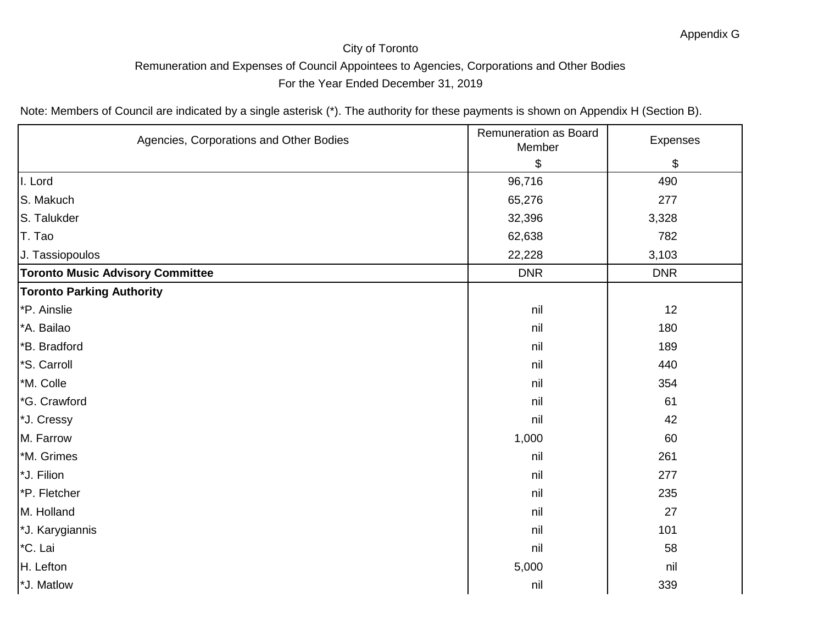| Agencies, Corporations and Other Bodies | Remuneration as Board<br>Member | Expenses   |
|-----------------------------------------|---------------------------------|------------|
|                                         | \$                              | \$         |
| I. Lord                                 | 96,716                          | 490        |
| S. Makuch                               | 65,276                          | 277        |
| S. Talukder                             | 32,396                          | 3,328      |
| T. Tao                                  | 62,638                          | 782        |
| J. Tassiopoulos                         | 22,228                          | 3,103      |
| <b>Toronto Music Advisory Committee</b> | <b>DNR</b>                      | <b>DNR</b> |
| <b>Toronto Parking Authority</b>        |                                 |            |
| <sup>*</sup> P. Ainslie                 | nil                             | 12         |
| *A. Bailao                              | nil                             | 180        |
| *B. Bradford                            | nil                             | 189        |
| *S. Carroll                             | nil                             | 440        |
| *M. Colle                               | nil                             | 354        |
| *G. Crawford                            | nil                             | 61         |
| *J. Cressy                              | nil                             | 42         |
| M. Farrow                               | 1,000                           | 60         |
| *M. Grimes                              | nil                             | 261        |
| *J. Filion                              | nil                             | 277        |
| *P. Fletcher                            | nil                             | 235        |
| M. Holland                              | nil                             | 27         |
| *J. Karygiannis                         | nil                             | 101        |
| *C. Lai                                 | nil                             | 58         |
| H. Lefton                               | 5,000                           | nil        |
| *J. Matlow                              | nil                             | 339        |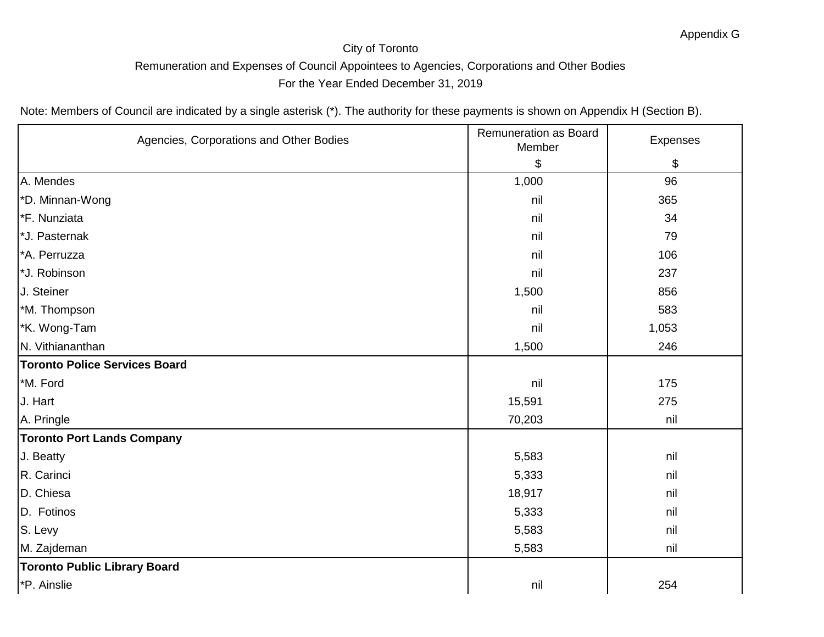| Agencies, Corporations and Other Bodies | <b>Remuneration as Board</b><br>Member | Expenses |
|-----------------------------------------|----------------------------------------|----------|
|                                         | \$                                     | \$       |
| A. Mendes                               | 1,000                                  | 96       |
| *D. Minnan-Wong                         | nil                                    | 365      |
| *F. Nunziata                            | nil                                    | 34       |
| *J. Pasternak                           | nil                                    | 79       |
| *A. Perruzza                            | nil                                    | 106      |
| *J. Robinson                            | nil                                    | 237      |
| J. Steiner                              | 1,500                                  | 856      |
| *M. Thompson                            | nil                                    | 583      |
| *K. Wong-Tam                            | nil                                    | 1,053    |
| N. Vithiananthan                        | 1,500                                  | 246      |
| <b>Toronto Police Services Board</b>    |                                        |          |
| *M. Ford                                | nil                                    | 175      |
| J. Hart                                 | 15,591                                 | 275      |
| A. Pringle                              | 70,203                                 | nil      |
| <b>Toronto Port Lands Company</b>       |                                        |          |
| J. Beatty                               | 5,583                                  | nil      |
| R. Carinci                              | 5,333                                  | nil      |
| D. Chiesa                               | 18,917                                 | nil      |
| D. Fotinos                              | 5,333                                  | nil      |
| S. Levy                                 | 5,583                                  | nil      |
| M. Zajdeman                             | 5,583                                  | nil      |
| <b>Toronto Public Library Board</b>     |                                        |          |
| *P. Ainslie                             | nil                                    | 254      |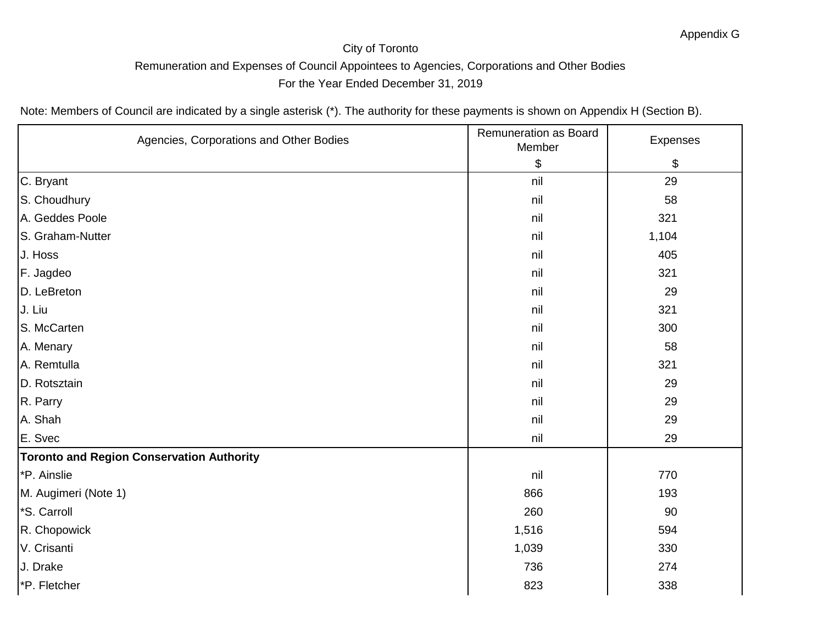| Agencies, Corporations and Other Bodies          | Remuneration as Board<br>Member | Expenses |
|--------------------------------------------------|---------------------------------|----------|
|                                                  | \$                              | \$       |
| C. Bryant                                        | nil                             | 29       |
| S. Choudhury                                     | nil                             | 58       |
| A. Geddes Poole                                  | nil                             | 321      |
| S. Graham-Nutter                                 | nil                             | 1,104    |
| J. Hoss                                          | nil                             | 405      |
| F. Jagdeo                                        | nil                             | 321      |
| D. LeBreton                                      | nil                             | 29       |
| J. Liu                                           | nil                             | 321      |
| S. McCarten                                      | nil                             | 300      |
| A. Menary                                        | nil                             | 58       |
| A. Remtulla                                      | nil                             | 321      |
| D. Rotsztain                                     | nil                             | 29       |
| R. Parry                                         | nil                             | 29       |
| A. Shah                                          | nil                             | 29       |
| E. Svec                                          | nil                             | 29       |
| <b>Toronto and Region Conservation Authority</b> |                                 |          |
| *P. Ainslie                                      | nil                             | 770      |
| M. Augimeri (Note 1)                             | 866                             | 193      |
| *S. Carroll                                      | 260                             | 90       |
| R. Chopowick                                     | 1,516                           | 594      |
| V. Crisanti                                      | 1,039                           | 330      |
| J. Drake                                         | 736                             | 274      |
| *P. Fletcher                                     | 823                             | 338      |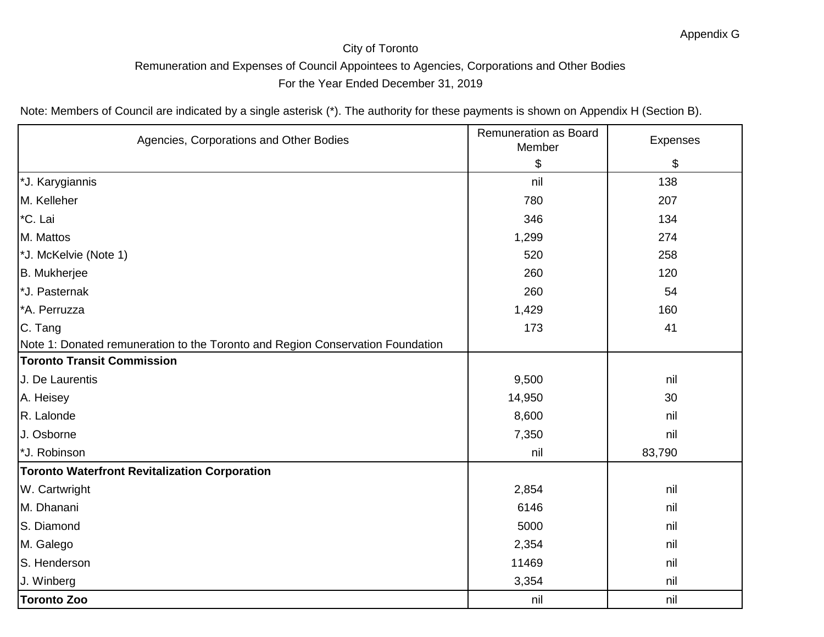| Agencies, Corporations and Other Bodies                                        | <b>Remuneration as Board</b><br>Member | Expenses |
|--------------------------------------------------------------------------------|----------------------------------------|----------|
|                                                                                | \$                                     | \$       |
| *J. Karygiannis                                                                | nil                                    | 138      |
| M. Kelleher                                                                    | 780                                    | 207      |
| *C. Lai                                                                        | 346                                    | 134      |
| M. Mattos                                                                      | 1,299                                  | 274      |
| *J. McKelvie (Note 1)                                                          | 520                                    | 258      |
| B. Mukherjee                                                                   | 260                                    | 120      |
| *J. Pasternak                                                                  | 260                                    | 54       |
| *A. Perruzza                                                                   | 1,429                                  | 160      |
| C. Tang                                                                        | 173                                    | 41       |
| Note 1: Donated remuneration to the Toronto and Region Conservation Foundation |                                        |          |
| <b>Toronto Transit Commission</b>                                              |                                        |          |
| J. De Laurentis                                                                | 9,500                                  | nil      |
| A. Heisey                                                                      | 14,950                                 | 30       |
| R. Lalonde                                                                     | 8,600                                  | nil      |
| J. Osborne                                                                     | 7,350                                  | nil      |
| *J. Robinson                                                                   | nil                                    | 83,790   |
| <b>Toronto Waterfront Revitalization Corporation</b>                           |                                        |          |
| W. Cartwright                                                                  | 2,854                                  | nil      |
| M. Dhanani                                                                     | 6146                                   | nil      |
| S. Diamond                                                                     | 5000                                   | nil      |
| M. Galego                                                                      | 2,354                                  | nil      |
| S. Henderson                                                                   | 11469                                  | nil      |
| J. Winberg                                                                     | 3,354                                  | nil      |
| <b>Toronto Zoo</b>                                                             | nil                                    | nil      |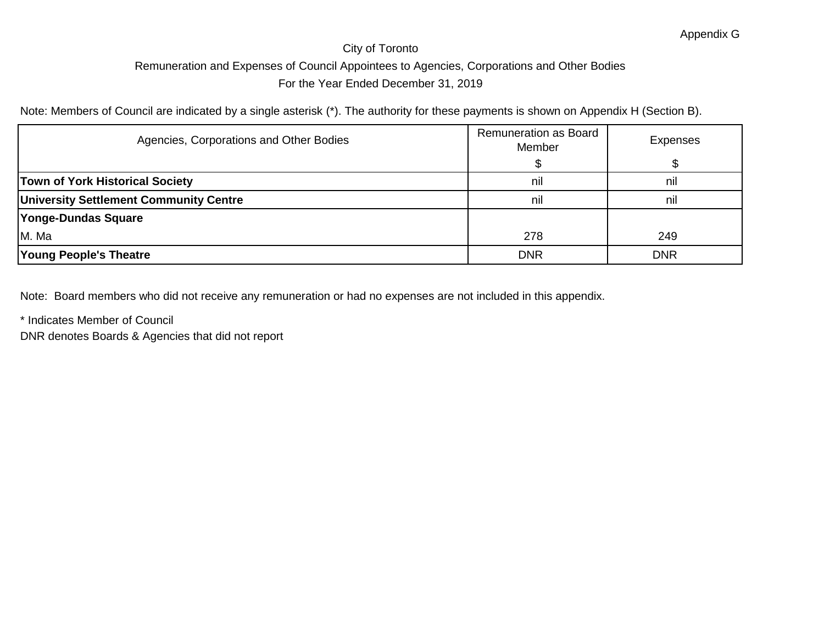Note: Members of Council are indicated by a single asterisk (\*). The authority for these payments is shown on Appendix H (Section B).

| Agencies, Corporations and Other Bodies       | Remuneration as Board<br>Member | <b>Expenses</b> |
|-----------------------------------------------|---------------------------------|-----------------|
|                                               |                                 |                 |
| <b>Town of York Historical Society</b>        | nil                             | nil             |
| <b>University Settlement Community Centre</b> | nil                             | nil             |
| Yonge-Dundas Square                           |                                 |                 |
| M. Ma                                         | 278                             | 249             |
| <b>Young People's Theatre</b>                 | <b>DNR</b>                      | <b>DNR</b>      |

Note: Board members who did not receive any remuneration or had no expenses are not included in this appendix.

\* Indicates Member of Council

DNR denotes Boards & Agencies that did not report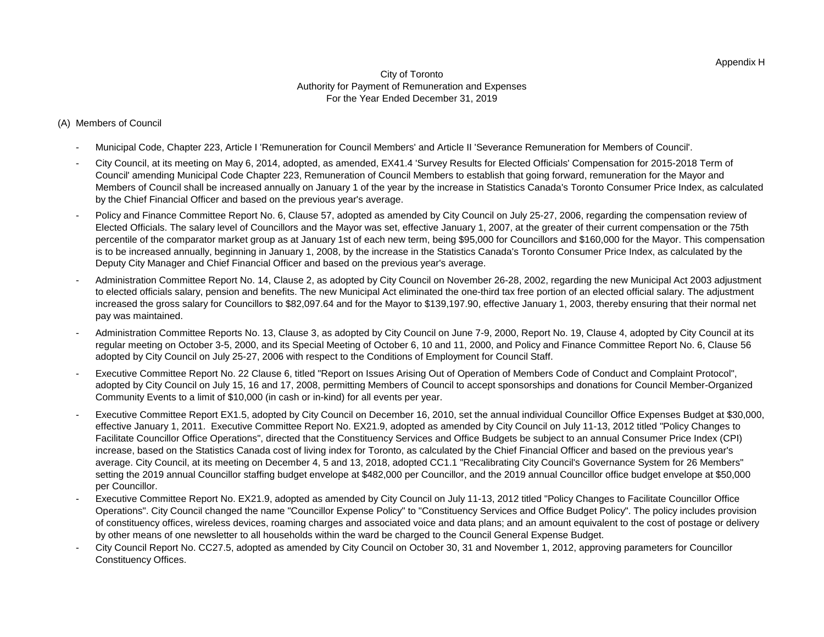### (A) Members of Council

- Municipal Code, Chapter 223, Article I 'Remuneration for Council Members' and Article II 'Severance Remuneration for Members of Council'.
- City Council, at its meeting on May 6, 2014, adopted, as amended, EX41.4 'Survey Results for Elected Officials' Compensation for 2015-2018 Term of Council' amending Municipal Code Chapter 223, Remuneration of Council Members to establish that going forward, remuneration for the Mayor and Members of Council shall be increased annually on January 1 of the year by the increase in Statistics Canada's Toronto Consumer Price Index, as calculated by the Chief Financial Officer and based on the previous year's average.
- Policy and Finance Committee Report No. 6, Clause 57, adopted as amended by City Council on July 25-27, 2006, regarding the compensation review of Elected Officials. The salary level of Councillors and the Mayor was set, effective January 1, 2007, at the greater of their current compensation or the 75th percentile of the comparator market group as at January 1st of each new term, being \$95,000 for Councillors and \$160,000 for the Mayor. This compensation is to be increased annually, beginning in January 1, 2008, by the increase in the Statistics Canada's Toronto Consumer Price Index, as calculated by the Deputy City Manager and Chief Financial Officer and based on the previous year's average.
- Administration Committee Report No. 14, Clause 2, as adopted by City Council on November 26-28, 2002, regarding the new Municipal Act 2003 adjustment to elected officials salary, pension and benefits. The new Municipal Act eliminated the one-third tax free portion of an elected official salary. The adjustment increased the gross salary for Councillors to \$82,097.64 and for the Mayor to \$139,197.90, effective January 1, 2003, thereby ensuring that their normal net pay was maintained.
- Administration Committee Reports No. 13, Clause 3, as adopted by City Council on June 7-9, 2000, Report No. 19, Clause 4, adopted by City Council at its regular meeting on October 3-5, 2000, and its Special Meeting of October 6, 10 and 11, 2000, and Policy and Finance Committee Report No. 6, Clause 56 adopted by City Council on July 25-27, 2006 with respect to the Conditions of Employment for Council Staff.
- Executive Committee Report No. 22 Clause 6, titled "Report on Issues Arising Out of Operation of Members Code of Conduct and Complaint Protocol", adopted by City Council on July 15, 16 and 17, 2008, permitting Members of Council to accept sponsorships and donations for Council Member-Organized Community Events to a limit of \$10,000 (in cash or in-kind) for all events per year.
- Executive Committee Report EX1.5, adopted by City Council on December 16, 2010, set the annual individual Councillor Office Expenses Budget at \$30,000, effective January 1, 2011. Executive Committee Report No. EX21.9, adopted as amended by City Council on July 11-13, 2012 titled "Policy Changes to Facilitate Councillor Office Operations", directed that the Constituency Services and Office Budgets be subject to an annual Consumer Price Index (CPI) increase, based on the Statistics Canada cost of living index for Toronto, as calculated by the Chief Financial Officer and based on the previous year's average. City Council, at its meeting on December 4, 5 and 13, 2018, adopted CC1.1 "Recalibrating City Council's Governance System for 26 Members" setting the 2019 annual Councillor staffing budget envelope at \$482,000 per Councillor, and the 2019 annual Councillor office budget envelope at \$50,000 per Councillor.
- Executive Committee Report No. EX21.9, adopted as amended by City Council on July 11-13, 2012 titled "Policy Changes to Facilitate Councillor Office Operations". City Council changed the name "Councillor Expense Policy" to "Constituency Services and Office Budget Policy". The policy includes provision of constituency offices, wireless devices, roaming charges and associated voice and data plans; and an amount equivalent to the cost of postage or delivery by other means of one newsletter to all households within the ward be charged to the Council General Expense Budget.
- City Council Report No. CC27.5, adopted as amended by City Council on October 30, 31 and November 1, 2012, approving parameters for Councillor Constituency Offices.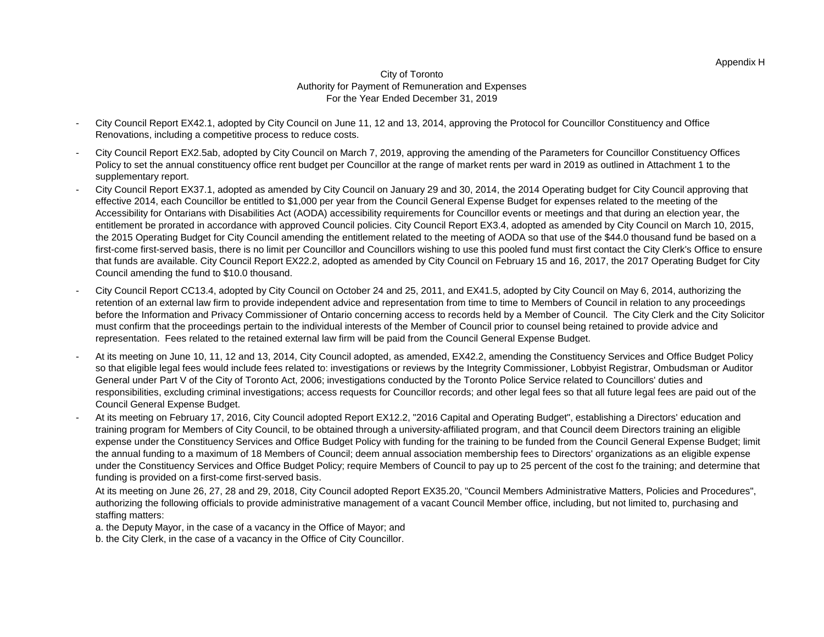- City Council Report EX42.1, adopted by City Council on June 11, 12 and 13, 2014, approving the Protocol for Councillor Constituency and Office Renovations, including a competitive process to reduce costs.
- City Council Report EX2.5ab, adopted by City Council on March 7, 2019, approving the amending of the Parameters for Councillor Constituency Offices Policy to set the annual constituency office rent budget per Councillor at the range of market rents per ward in 2019 as outlined in Attachment 1 to the supplementary report.
- City Council Report EX37.1, adopted as amended by City Council on January 29 and 30, 2014, the 2014 Operating budget for City Council approving that effective 2014, each Councillor be entitled to \$1,000 per year from the Council General Expense Budget for expenses related to the meeting of the Accessibility for Ontarians with Disabilities Act (AODA) accessibility requirements for Councillor events or meetings and that during an election year, the entitlement be prorated in accordance with approved Council policies. City Council Report EX3.4, adopted as amended by City Council on March 10, 2015, the 2015 Operating Budget for City Council amending the entitlement related to the meeting of AODA so that use of the \$44.0 thousand fund be based on a first-come first-served basis, there is no limit per Councillor and Councillors wishing to use this pooled fund must first contact the City Clerk's Office to ensure that funds are available. City Council Report EX22.2, adopted as amended by City Council on February 15 and 16, 2017, the 2017 Operating Budget for City Council amending the fund to \$10.0 thousand.
- City Council Report CC13.4, adopted by City Council on October 24 and 25, 2011, and EX41.5, adopted by City Council on May 6, 2014, authorizing the retention of an external law firm to provide independent advice and representation from time to time to Members of Council in relation to any proceedings before the Information and Privacy Commissioner of Ontario concerning access to records held by a Member of Council. The City Clerk and the City Solicitor must confirm that the proceedings pertain to the individual interests of the Member of Council prior to counsel being retained to provide advice and representation. Fees related to the retained external law firm will be paid from the Council General Expense Budget.
- At its meeting on June 10, 11, 12 and 13, 2014, City Council adopted, as amended, EX42.2, amending the Constituency Services and Office Budget Policy so that eligible legal fees would include fees related to: investigations or reviews by the Integrity Commissioner, Lobbyist Registrar, Ombudsman or Auditor General under Part V of the City of Toronto Act, 2006; investigations conducted by the Toronto Police Service related to Councillors' duties and responsibilities, excluding criminal investigations; access requests for Councillor records; and other legal fees so that all future legal fees are paid out of the Council General Expense Budget.
- At its meeting on February 17, 2016, City Council adopted Report EX12.2, "2016 Capital and Operating Budget", establishing a Directors' education and training program for Members of City Council, to be obtained through a university-affiliated program, and that Council deem Directors training an eligible expense under the Constituency Services and Office Budget Policy with funding for the training to be funded from the Council General Expense Budget; limit the annual funding to a maximum of 18 Members of Council; deem annual association membership fees to Directors' organizations as an eligible expense under the Constituency Services and Office Budget Policy; require Members of Council to pay up to 25 percent of the cost fo the training; and determine that funding is provided on a first-come first-served basis.
	- At its meeting on June 26, 27, 28 and 29, 2018, City Council adopted Report EX35.20, "Council Members Administrative Matters, Policies and Procedures", authorizing the following officials to provide administrative management of a vacant Council Member office, including, but not limited to, purchasing and staffing matters:

a. the Deputy Mayor, in the case of a vacancy in the Office of Mayor; and

b. the City Clerk, in the case of a vacancy in the Office of City Councillor.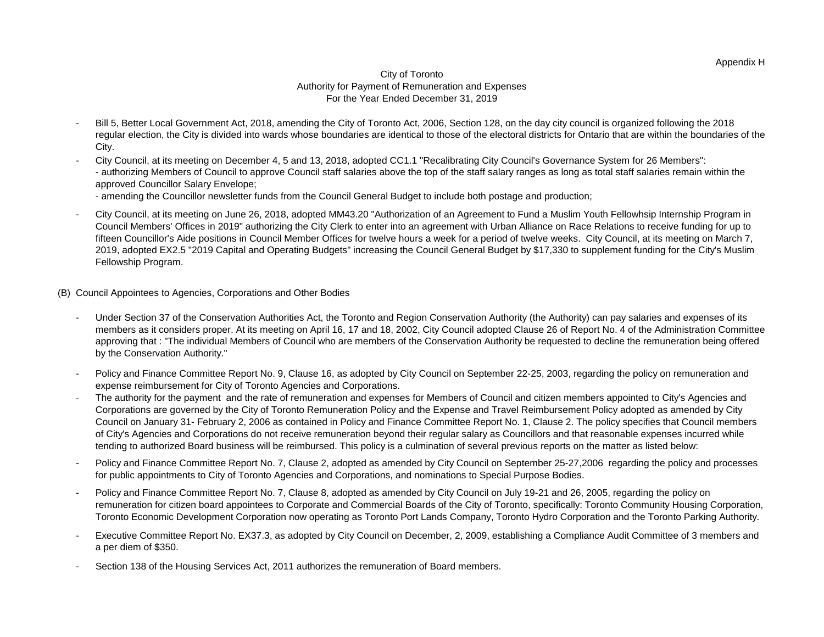- Bill 5, Better Local Government Act, 2018, amending the City of Toronto Act, 2006, Section 128, on the day city council is organized following the 2018 regular election, the City is divided into wards whose boundaries are identical to those of the electoral districts for Ontario that are within the boundaries of the City.
- City Council, at its meeting on December 4, 5 and 13, 2018, adopted CC1.1 "Recalibrating City Council's Governance System for 26 Members": - authorizing Members of Council to approve Council staff salaries above the top of the staff salary ranges as long as total staff salaries remain within the approved Councillor Salary Envelope;

- amending the Councillor newsletter funds from the Council General Budget to include both postage and production;

- City Council, at its meeting on June 26, 2018, adopted MM43.20 "Authorization of an Agreement to Fund a Muslim Youth Fellowhsip Internship Program in Council Members' Offices in 2019" authorizing the City Clerk to enter into an agreement with Urban Alliance on Race Relations to receive funding for up to fifteen Councillor's Aide positions in Council Member Offices for twelve hours a week for a period of twelve weeks. City Council, at its meeting on March 7, 2019, adopted EX2.5 "2019 Capital and Operating Budgets" increasing the Council General Budget by \$17,330 to supplement funding for the City's Muslim Fellowship Program.

(B) Council Appointees to Agencies, Corporations and Other Bodies

- Under Section 37 of the Conservation Authorities Act, the Toronto and Region Conservation Authority (the Authority) can pay salaries and expenses of its members as it considers proper. At its meeting on April 16, 17 and 18, 2002, City Council adopted Clause 26 of Report No. 4 of the Administration Committee approving that : "The individual Members of Council who are members of the Conservation Authority be requested to decline the remuneration being offered by the Conservation Authority."
- Policy and Finance Committee Report No. 9, Clause 16, as adopted by City Council on September 22-25, 2003, regarding the policy on remuneration and expense reimbursement for City of Toronto Agencies and Corporations.
- The authority for the payment and the rate of remuneration and expenses for Members of Council and citizen members appointed to City's Agencies and Corporations are governed by the City of Toronto Remuneration Policy and the Expense and Travel Reimbursement Policy adopted as amended by City Council on January 31- February 2, 2006 as contained in Policy and Finance Committee Report No. 1, Clause 2. The policy specifies that Council members of City's Agencies and Corporations do not receive remuneration beyond their regular salary as Councillors and that reasonable expenses incurred while tending to authorized Board business will be reimbursed. This policy is a culmination of several previous reports on the matter as listed below:
- Policy and Finance Committee Report No. 7, Clause 2, adopted as amended by City Council on September 25-27,2006 regarding the policy and processes for public appointments to City of Toronto Agencies and Corporations, and nominations to Special Purpose Bodies.
- Policy and Finance Committee Report No. 7, Clause 8, adopted as amended by City Council on July 19-21 and 26, 2005, regarding the policy on remuneration for citizen board appointees to Corporate and Commercial Boards of the City of Toronto, specifically: Toronto Community Housing Corporation, Toronto Economic Development Corporation now operating as Toronto Port Lands Company, Toronto Hydro Corporation and the Toronto Parking Authority.
- Executive Committee Report No. EX37.3, as adopted by City Council on December, 2, 2009, establishing a Compliance Audit Committee of 3 members and a per diem of \$350.
- Section 138 of the Housing Services Act, 2011 authorizes the remuneration of Board members.